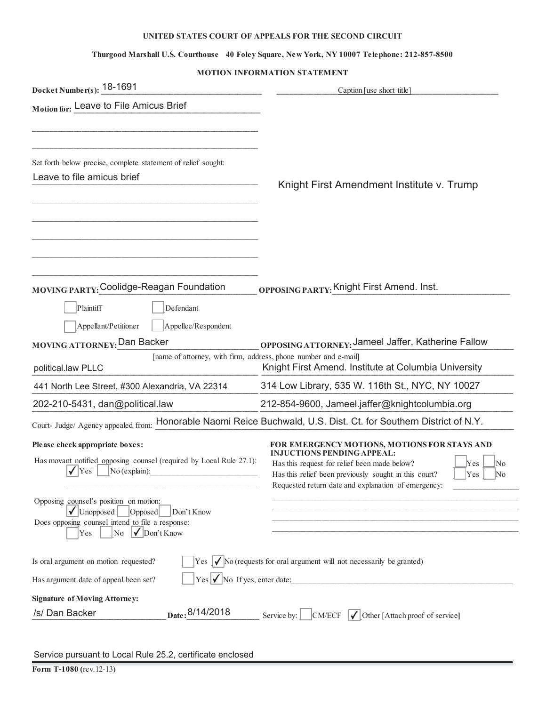#### **UNITED STATES COURT OF APPEALS FOR THE SECOND CIRCUIT**

#### **Thurgood Marshall U.S. Courthouse 40 Foley Square, New York, NY 10007 Telephone: 212-857-8500**

#### **MOTION INFORMATION STATEMENT**

| Docket Number(s): 18-1691                                                                                                                                                                                         | Caption [use short title]                                                                                                                                                                                                                                                   |
|-------------------------------------------------------------------------------------------------------------------------------------------------------------------------------------------------------------------|-----------------------------------------------------------------------------------------------------------------------------------------------------------------------------------------------------------------------------------------------------------------------------|
| Motion for: Leave to File Amicus Brief                                                                                                                                                                            |                                                                                                                                                                                                                                                                             |
| Set forth below precise, complete statement of relief sought:<br>Leave to file amicus brief                                                                                                                       | Knight First Amendment Institute v. Trump                                                                                                                                                                                                                                   |
| MOVING PARTY: Coolidge-Reagan Foundation                                                                                                                                                                          | OPPOSING PARTY: Knight First Amend. Inst.                                                                                                                                                                                                                                   |
| Plaintiff<br>Defendant<br>Appellant/Petitioner<br>Appellee/Respondent<br><b>MOVING ATTORNEY: Dan Backer</b><br>[name of attorney, with firm, address, phone number and e-mail]<br>political.law PLLC              | OPPOSING ATTORNEY: Jameel Jaffer, Katherine Fallow<br>Knight First Amend. Institute at Columbia University                                                                                                                                                                  |
| 441 North Lee Street, #300 Alexandria, VA 22314                                                                                                                                                                   | 314 Low Library, 535 W. 116th St., NYC, NY 10027                                                                                                                                                                                                                            |
| 202-210-5431, dan@political.law                                                                                                                                                                                   | 212-854-9600, Jameel.jaffer@knightcolumbia.org                                                                                                                                                                                                                              |
|                                                                                                                                                                                                                   | Court- Judge/ Agency appealed from: Honorable Naomi Reice Buchwald, U.S. Dist. Ct. for Southern District of N.Y.                                                                                                                                                            |
| Please check appropriate boxes:<br>Has movant notified opposing counsel (required by Local Rule 27.1):<br><b>Yes</b><br>$No$ (explain):                                                                           | FOR EMERGENCY MOTIONS, MOTIONS FOR STAYS AND<br><b>INJUCTIONS PENDING APPEAL:</b><br>Has this request for relief been made below?<br>Yes<br>No<br>Has this relief been previously sought in this court?<br>Yes<br>No<br>Requested return date and explanation of emergency: |
| Opposing counsel's position on motion:<br>$\sqrt{\text{Unopposed}}$<br>Opposed<br>Don't Know<br>Does opposing counsel intend to file a response:<br>$\sqrt{\frac{1}{2}}$ Don't Know<br>$\overline{\rm No}$<br>Yes |                                                                                                                                                                                                                                                                             |
| Is oral argument on motion requested?<br>Has argument date of appeal been set?                                                                                                                                    | $\gamma$ es $\sqrt{\ }$ No (requests for oral argument will not necessarily be granted)<br>$\text{Yes}$ $\bigvee$ No If yes, enter date:                                                                                                                                    |
| <b>Signature of Moving Attorney:</b>                                                                                                                                                                              |                                                                                                                                                                                                                                                                             |
| Date: 8/14/2018<br>/s/ Dan Backer                                                                                                                                                                                 | Service by: $\Box$ CM/ECF $\Box$ Other [Attach proof of service]                                                                                                                                                                                                            |
| Service pursuant to Local Rule 25.2, certificate enclosed<br>Form T-1080 (rev.12-13)                                                                                                                              |                                                                                                                                                                                                                                                                             |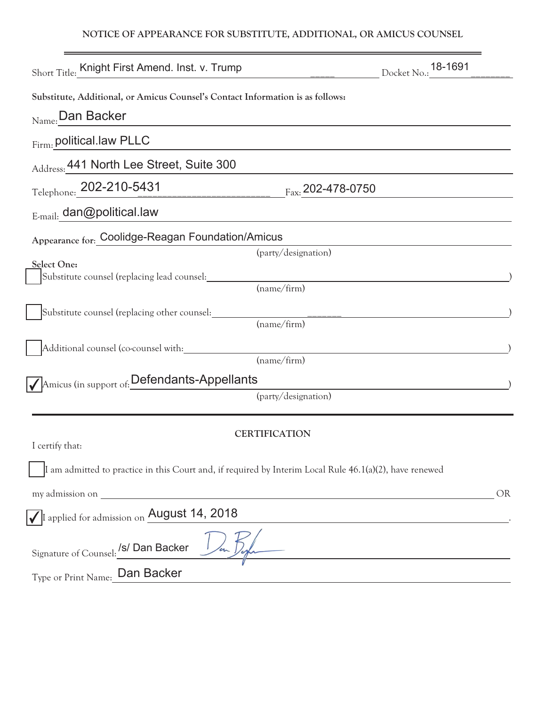#### **NOTICE OF APPEARANCE FOR SUBSTITUTE, ADDITIONAL, OR AMICUS COUNSEL**

| Short Title: Knight First Amend. Inst. v. Trump                                |                                                                                                            | Docket No.: 18-1691 |
|--------------------------------------------------------------------------------|------------------------------------------------------------------------------------------------------------|---------------------|
| Substitute, Additional, or Amicus Counsel's Contact Information is as follows: |                                                                                                            |                     |
| $_{\text{Name:}}$ Dan Backer                                                   |                                                                                                            |                     |
| Firm: political.law PLLC                                                       |                                                                                                            |                     |
| Address: 441 North Lee Street, Suite 300                                       |                                                                                                            |                     |
| Telephone: 202-210-5431                                                        | $F_{\text{ax}}$ 202-478-0750                                                                               |                     |
| E-mail: dan@political.law                                                      |                                                                                                            |                     |
| Appearance for: Coolidge-Reagan Foundation/Amicus                              |                                                                                                            |                     |
|                                                                                | (party/designation)                                                                                        |                     |
| Select One:                                                                    |                                                                                                            |                     |
| Substitute counsel (replacing lead counsel:                                    | (name/firm)                                                                                                |                     |
|                                                                                |                                                                                                            |                     |
| Substitute counsel (replacing other counsel:                                   |                                                                                                            |                     |
|                                                                                | (name/firm)                                                                                                |                     |
| Additional counsel (co-counsel with:                                           |                                                                                                            |                     |
|                                                                                | (name/firm)                                                                                                |                     |
| Amicus (in support of: Defendants-Appellants                                   |                                                                                                            |                     |
|                                                                                | (party/designation)                                                                                        |                     |
|                                                                                |                                                                                                            |                     |
|                                                                                | <b>CERTIFICATION</b>                                                                                       |                     |
| I certify that:                                                                |                                                                                                            |                     |
|                                                                                |                                                                                                            |                     |
|                                                                                | I am admitted to practice in this Court and, if required by Interim Local Rule $46.1(a)(2)$ , have renewed |                     |
|                                                                                |                                                                                                            | <b>OR</b>           |
| I applied for admission on August 14, 2018                                     |                                                                                                            |                     |
|                                                                                |                                                                                                            |                     |
| Signature of Counsel: /s/ Dan Backer                                           | /en Desha                                                                                                  |                     |
| Type or Print Name: Dan Backer                                                 |                                                                                                            |                     |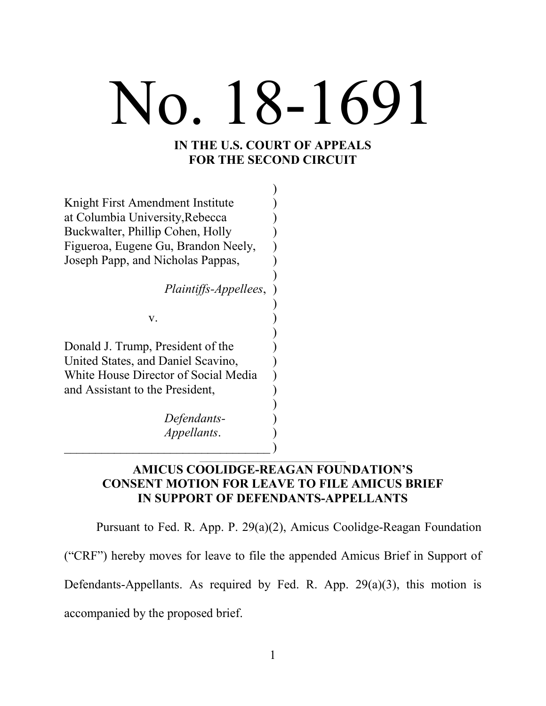# No. 18-1691

#### **IN THE U.S. COURT OF APPEALS FOR THE SECOND CIRCUIT**

| Knight First Amendment Institute     |  |
|--------------------------------------|--|
| at Columbia University, Rebecca      |  |
| Buckwalter, Phillip Cohen, Holly     |  |
| Figueroa, Eugene Gu, Brandon Neely,  |  |
| Joseph Papp, and Nicholas Pappas,    |  |
|                                      |  |
| Plaintiffs-Appellees,                |  |
|                                      |  |
| V.                                   |  |
|                                      |  |
| Donald J. Trump, President of the    |  |
| United States, and Daniel Scavino,   |  |
| White House Director of Social Media |  |
| and Assistant to the President,      |  |
|                                      |  |
| Defendants-                          |  |
| Appellants.                          |  |
|                                      |  |

#### **AMICUS COOLIDGE-REAGAN FOUNDATION'S CONSENT MOTION FOR LEAVE TO FILE AMICUS BRIEF IN SUPPORT OF DEFENDANTS-APPELLANTS**

Pursuant to Fed. R. App. P. 29(a)(2), Amicus Coolidge-Reagan Foundation ("CRF") hereby moves for leave to file the appended Amicus Brief in Support of Defendants-Appellants. As required by Fed. R. App.  $29(a)(3)$ , this motion is accompanied by the proposed brief.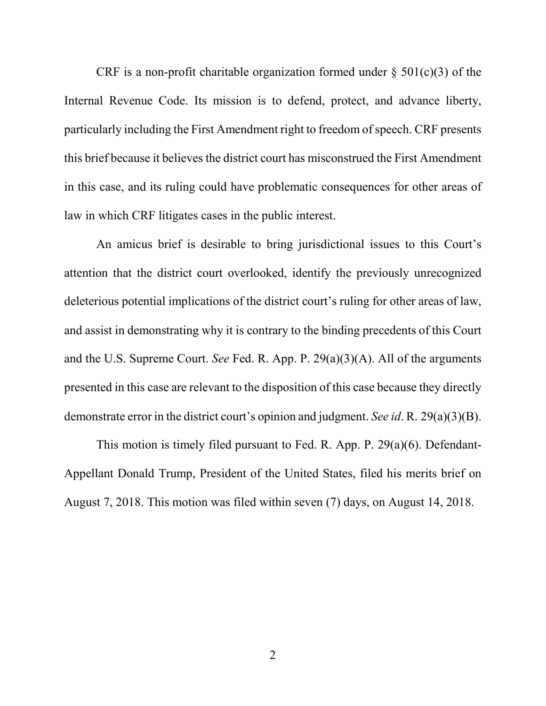CRF is a non-profit charitable organization formed under  $\S$  501(c)(3) of the Internal Revenue Code. Its mission is to defend, protect, and advance liberty, particularly including the First Amendment right to freedom of speech. CRF presents this brief because it believes the district court has misconstrued the First Amendment in this case, and its ruling could have problematic consequences for other areas of law in which CRF litigates cases in the public interest.

An amicus brief is desirable to bring jurisdictional issues to this Court's attention that the district court overlooked, identify the previously unrecognized deleterious potential implications of the district court's ruling for other areas of law, and assist in demonstrating why it is contrary to the binding precedents of this Court and the U.S. Supreme Court. *See* Fed. R. App. P. 29(a)(3)(A). All of the arguments presented in this case are relevant to the disposition of this case because they directly demonstrate error in the district court's opinion and judgment. *See id*. R. 29(a)(3)(B).

This motion is timely filed pursuant to Fed. R. App. P. 29(a)(6). Defendant-Appellant Donald Trump, President of the United States, filed his merits brief on August 7, 2018. This motion was filed within seven (7) days, on August 14, 2018.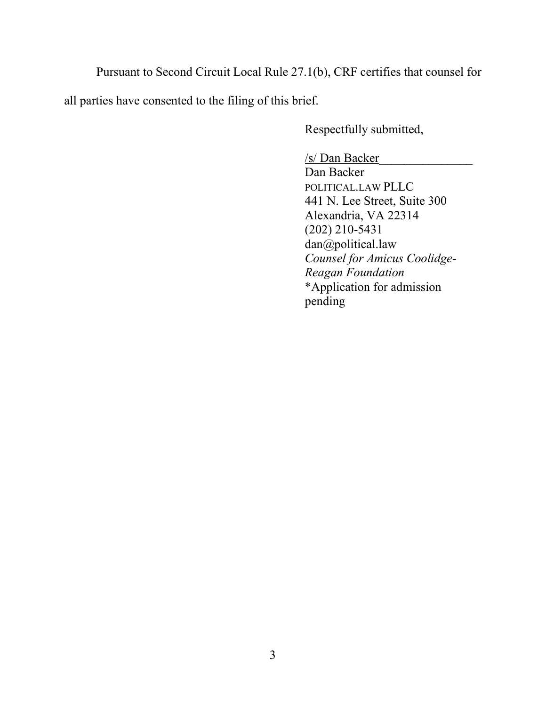Pursuant to Second Circuit Local Rule 27.1(b), CRF certifies that counsel for all parties have consented to the filing of this brief.

Respectfully submitted,

/s/ Dan Backer\_\_\_\_\_\_\_\_\_\_\_\_\_\_\_ Dan Backer POLITICAL.LAW PLLC 441 N. Lee Street, Suite 300 Alexandria, VA 22314 (202) 210-5431 dan@political.law *Counsel for Amicus Coolidge-Reagan Foundation* \*Application for admission pending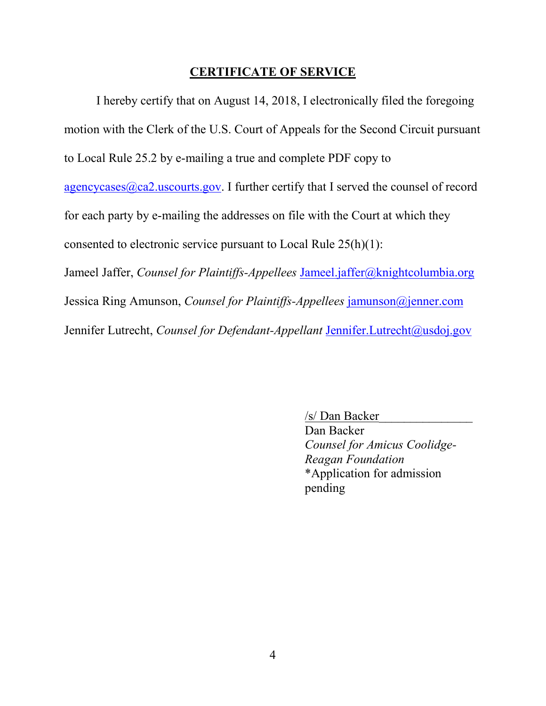#### **CERTIFICATE OF SERVICE**

I hereby certify that on August 14, 2018, I electronically filed the foregoing motion with the Clerk of the U.S. Court of Appeals for the Second Circuit pursuant to Local Rule 25.2 by e-mailing a true and complete PDF copy to  $agencycases$   $@ca2.uscounts.gov$ . I further certify that I served the counsel of record for each party by e-mailing the addresses on file with the Court at which they consented to electronic service pursuant to Local Rule 25(h)(1): Jameel Jaffer, *Counsel for Plaintiffs-Appellees* Jameel.jaffer@knightcolumbia.org Jessica Ring Amunson, *Counsel for Plaintiffs-Appellees* jamunson@jenner.com Jennifer Lutrecht, *Counsel for Defendant-Appellant* Jennifer.Lutrecht@usdoj.gov

> /s/ Dan Backer\_\_\_\_\_\_\_\_\_\_\_\_\_\_\_ Dan Backer *Counsel for Amicus Coolidge-Reagan Foundation* \*Application for admission pending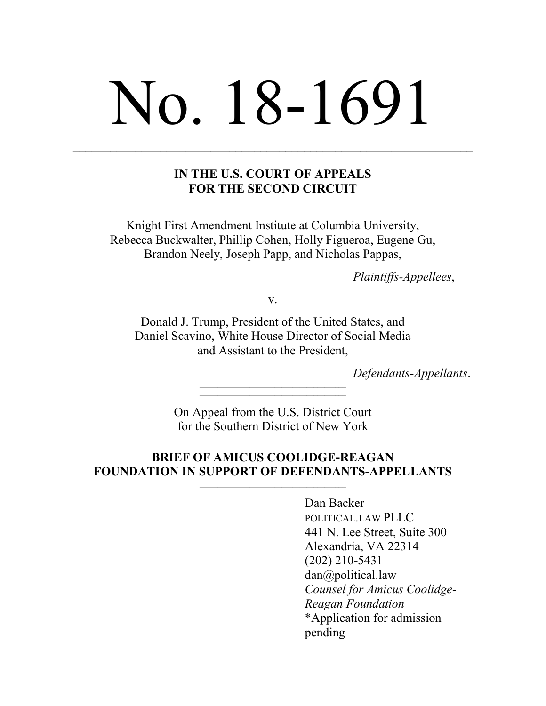# No. 18-1691

#### **IN THE U.S. COURT OF APPEALS FOR THE SECOND CIRCUIT**

Knight First Amendment Institute at Columbia University, Rebecca Buckwalter, Phillip Cohen, Holly Figueroa, Eugene Gu, Brandon Neely, Joseph Papp, and Nicholas Pappas,

*Plaintiffs-Appellees*,

v.

Donald J. Trump, President of the United States, and Daniel Scavino, White House Director of Social Media and Assistant to the President,

*Defendants-Appellants*.

On Appeal from the U.S. District Court for the Southern District of New York

#### **BRIEF OF AMICUS COOLIDGE-REAGAN FOUNDATION IN SUPPORT OF DEFENDANTS-APPELLANTS**

Dan Backer POLITICAL.LAW PLLC 441 N. Lee Street, Suite 300 Alexandria, VA 22314 (202) 210-5431 dan@political.law *Counsel for Amicus Coolidge-Reagan Foundation* \*Application for admission pending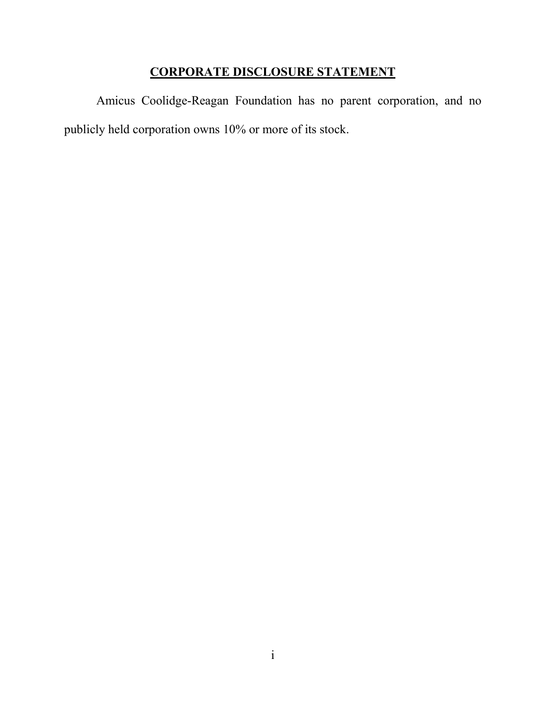## **CORPORATE DISCLOSURE STATEMENT**

Amicus Coolidge-Reagan Foundation has no parent corporation, and no publicly held corporation owns 10% or more of its stock.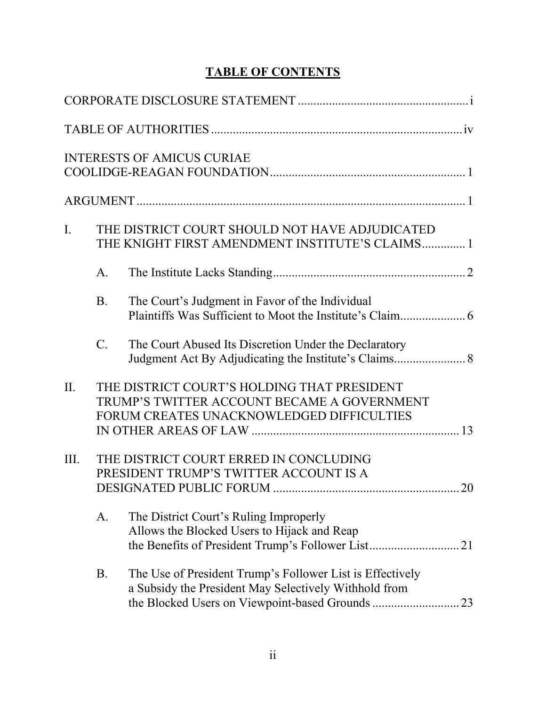# **TABLE OF CONTENTS**

|             |                 | <b>INTERESTS OF AMICUS CURIAE</b>                                                                                                          |  |
|-------------|-----------------|--------------------------------------------------------------------------------------------------------------------------------------------|--|
|             |                 |                                                                                                                                            |  |
| $I_{\cdot}$ |                 | THE DISTRICT COURT SHOULD NOT HAVE ADJUDICATED<br>THE KNIGHT FIRST AMENDMENT INSTITUTE'S CLAIMS 1                                          |  |
|             | $A_{\cdot}$     |                                                                                                                                            |  |
|             | <b>B</b> .      | The Court's Judgment in Favor of the Individual                                                                                            |  |
|             | $\mathcal{C}$ . | The Court Abused Its Discretion Under the Declaratory                                                                                      |  |
| II.         |                 | THE DISTRICT COURT'S HOLDING THAT PRESIDENT<br>TRUMP'S TWITTER ACCOUNT BECAME A GOVERNMENT<br>FORUM CREATES UNACKNOWLEDGED DIFFICULTIES    |  |
| III.        |                 | THE DISTRICT COURT ERRED IN CONCLUDING<br>PRESIDENT TRUMP'S TWITTER ACCOUNT IS A                                                           |  |
|             | A.              | The District Court's Ruling Improperly<br>Allows the Blocked Users to Hijack and Reap<br>the Benefits of President Trump's Follower List21 |  |
|             | <b>B.</b>       | The Use of President Trump's Follower List is Effectively<br>a Subsidy the President May Selectively Withhold from                         |  |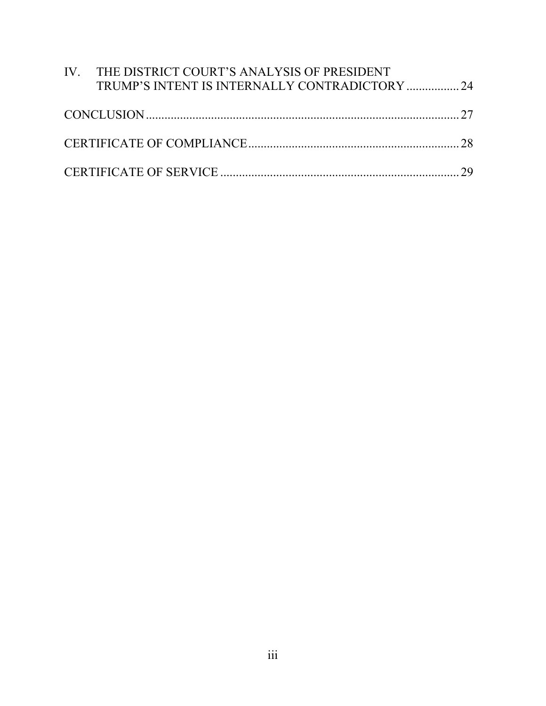| IV. THE DISTRICT COURT'S ANALYSIS OF PRESIDENT |  |
|------------------------------------------------|--|
| TRUMP'S INTENT IS INTERNALLY CONTRADICTORY  24 |  |
|                                                |  |
|                                                |  |
|                                                |  |
|                                                |  |
|                                                |  |
|                                                |  |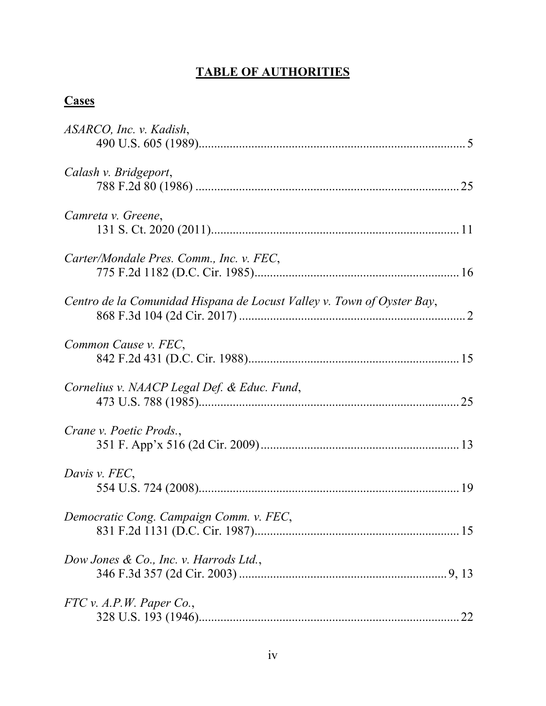# **TABLE OF AUTHORITIES**

# **Cases**

| ASARCO, Inc. v. Kadish,                                                |    |
|------------------------------------------------------------------------|----|
| Calash v. Bridgeport,                                                  | 25 |
| Camreta v. Greene,                                                     |    |
| Carter/Mondale Pres. Comm., Inc. v. FEC,                               |    |
| Centro de la Comunidad Hispana de Locust Valley v. Town of Oyster Bay, |    |
| Common Cause v. FEC.                                                   |    |
| Cornelius v. NAACP Legal Def. & Educ. Fund,                            |    |
| Crane v. Poetic Prods.,                                                |    |
| Davis v. FEC,                                                          |    |
| Democratic Cong. Campaign Comm. v. FEC,                                |    |
| Dow Jones & Co., Inc. v. Harrods Ltd.,                                 |    |
| FTC v. A.P.W. Paper Co.                                                |    |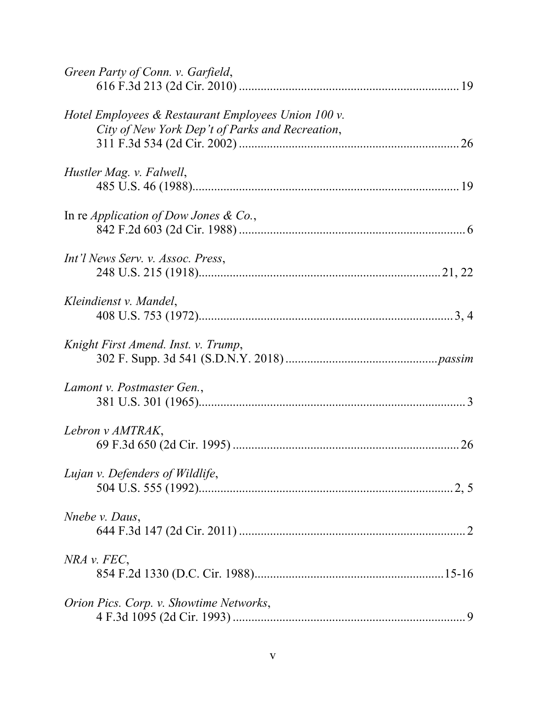| Green Party of Conn. v. Garfield,                                                                      |  |
|--------------------------------------------------------------------------------------------------------|--|
| Hotel Employees & Restaurant Employees Union 100 v.<br>City of New York Dep't of Parks and Recreation, |  |
| Hustler Mag. v. Falwell,                                                                               |  |
| In re <i>Application of Dow Jones &amp; Co.</i> ,                                                      |  |
| Int'l News Serv. v. Assoc. Press,                                                                      |  |
| Kleindienst v. Mandel,                                                                                 |  |
| Knight First Amend. Inst. v. Trump,                                                                    |  |
| Lamont v. Postmaster Gen.,                                                                             |  |
| Lebron v AMTRAK,                                                                                       |  |
| Lujan v. Defenders of Wildlife,                                                                        |  |
| Nnebe v. Daus,                                                                                         |  |
| NRA v. FEC,                                                                                            |  |
| Orion Pics. Corp. v. Showtime Networks,                                                                |  |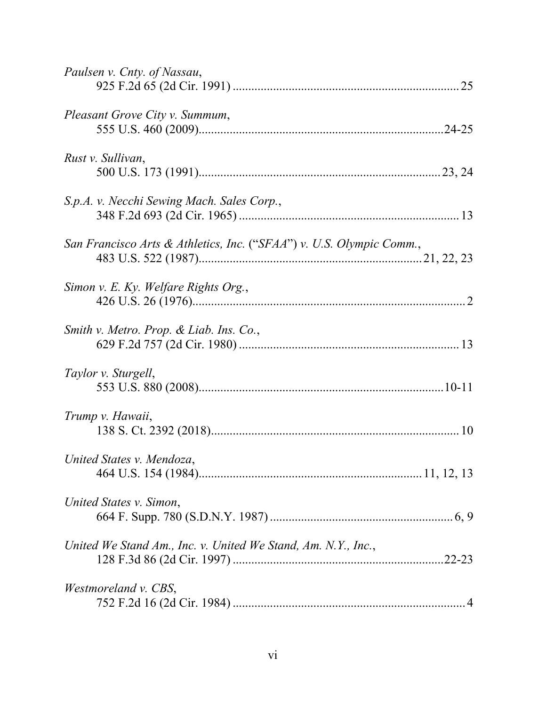| Paulsen v. Cnty. of Nassau,                                          |
|----------------------------------------------------------------------|
| Pleasant Grove City v. Summum,                                       |
| Rust v. Sullivan,                                                    |
| S.p.A. v. Necchi Sewing Mach. Sales Corp.,                           |
| San Francisco Arts & Athletics, Inc. ("SFAA") v. U.S. Olympic Comm., |
| Simon v. E. Ky. Welfare Rights Org.,                                 |
| Smith v. Metro. Prop. & Liab. Ins. Co.,                              |
| Taylor v. Sturgell,                                                  |
| Trump v. Hawaii,                                                     |
| United States v. Mendoza,                                            |
| United States v. Simon,                                              |
| United We Stand Am., Inc. v. United We Stand, Am. N.Y., Inc.,        |
| Westmoreland v. CBS,                                                 |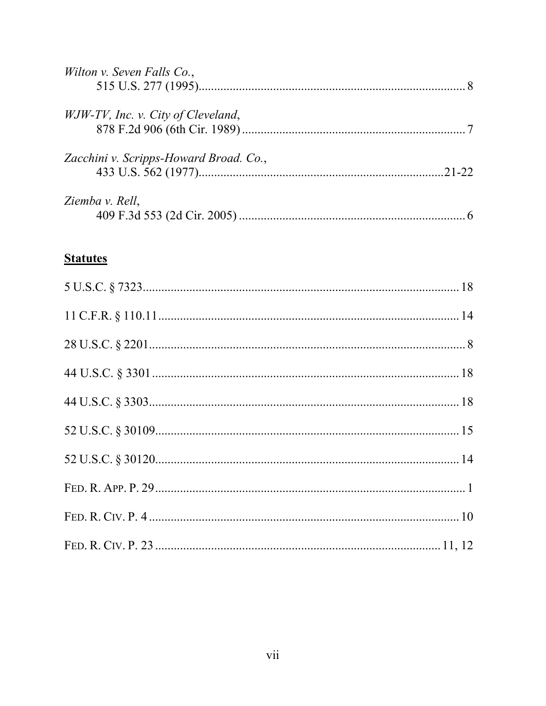| Wilton v. Seven Falls Co.,             |           |
|----------------------------------------|-----------|
| WJW-TV, Inc. v. City of Cleveland,     |           |
|                                        |           |
| Zacchini v. Scripps-Howard Broad. Co., |           |
|                                        | $21 - 22$ |
| Ziemba v. Rell,                        |           |
|                                        |           |

# **Statutes**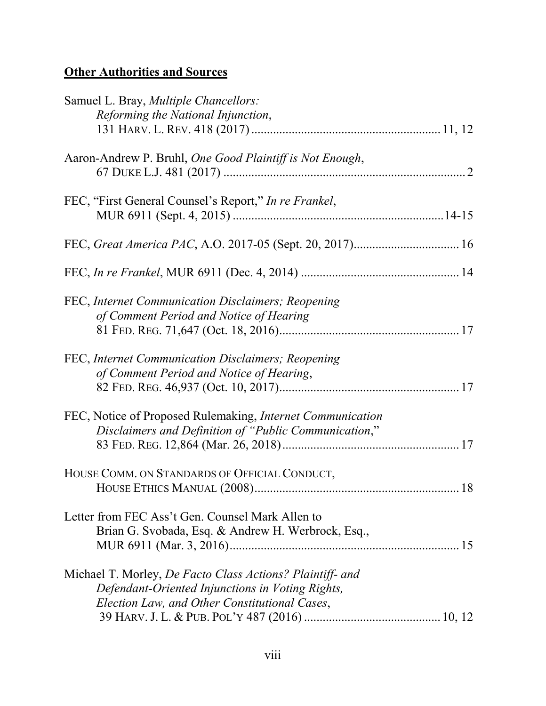# **Other Authorities and Sources**

| Samuel L. Bray, <i>Multiple Chancellors</i> :                                                                                                                  |  |
|----------------------------------------------------------------------------------------------------------------------------------------------------------------|--|
| Reforming the National Injunction,                                                                                                                             |  |
| Aaron-Andrew P. Bruhl, One Good Plaintiff is Not Enough,                                                                                                       |  |
| FEC, "First General Counsel's Report," In re Frankel,                                                                                                          |  |
|                                                                                                                                                                |  |
|                                                                                                                                                                |  |
| FEC, Internet Communication Disclaimers; Reopening<br>of Comment Period and Notice of Hearing                                                                  |  |
| FEC, Internet Communication Disclaimers; Reopening<br>of Comment Period and Notice of Hearing,                                                                 |  |
| FEC, Notice of Proposed Rulemaking, Internet Communication<br>Disclaimers and Definition of "Public Communication,"                                            |  |
| HOUSE COMM. ON STANDARDS OF OFFICIAL CONDUCT,                                                                                                                  |  |
| Letter from FEC Ass't Gen. Counsel Mark Allen to<br>Brian G. Svobada, Esq. & Andrew H. Werbrock, Esq.,                                                         |  |
| Michael T. Morley, De Facto Class Actions? Plaintiff- and<br>Defendant-Oriented Injunctions in Voting Rights,<br>Election Law, and Other Constitutional Cases, |  |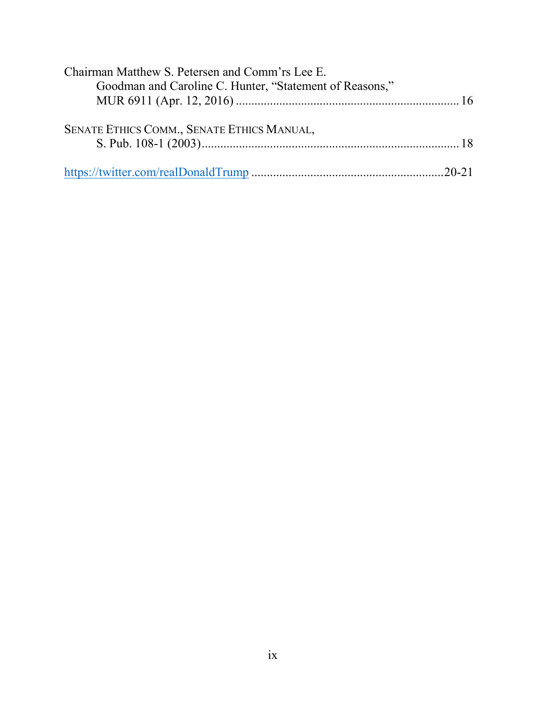| Chairman Matthew S. Petersen and Comm'rs Lee E.         |  |
|---------------------------------------------------------|--|
| Goodman and Caroline C. Hunter, "Statement of Reasons," |  |
|                                                         |  |
| SENATE ETHICS COMM., SENATE ETHICS MANUAL,              |  |
|                                                         |  |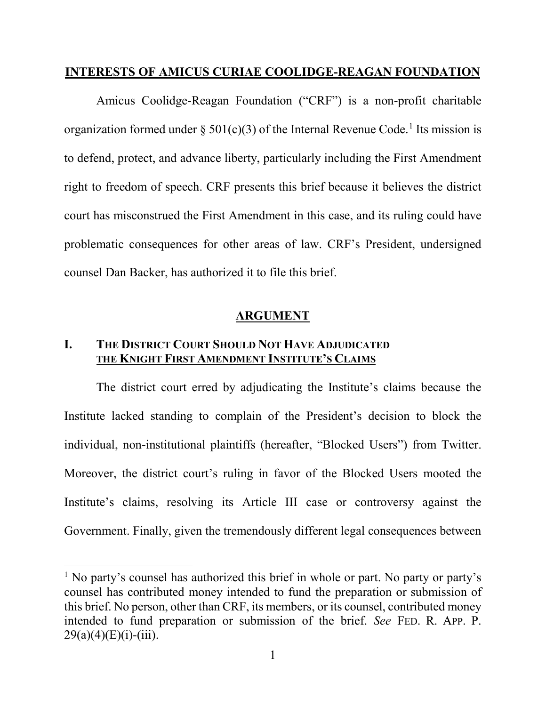#### **INTERESTS OF AMICUS CURIAE COOLIDGE-REAGAN FOUNDATION**

Amicus Coolidge-Reagan Foundation ("CRF") is a non-profit charitable organization formed under § 501(c)(3) of the Internal Revenue Code.<sup>1</sup> Its mission is to defend, protect, and advance liberty, particularly including the First Amendment right to freedom of speech. CRF presents this brief because it believes the district court has misconstrued the First Amendment in this case, and its ruling could have problematic consequences for other areas of law. CRF's President, undersigned counsel Dan Backer, has authorized it to file this brief.

#### **ARGUMENT**

### **I. THE DISTRICT COURT SHOULD NOT HAVE ADJUDICATED THE KNIGHT FIRST AMENDMENT INSTITUTE'S CLAIMS**

The district court erred by adjudicating the Institute's claims because the Institute lacked standing to complain of the President's decision to block the individual, non-institutional plaintiffs (hereafter, "Blocked Users") from Twitter. Moreover, the district court's ruling in favor of the Blocked Users mooted the Institute's claims, resolving its Article III case or controversy against the Government. Finally, given the tremendously different legal consequences between

<sup>&</sup>lt;sup>1</sup> No party's counsel has authorized this brief in whole or part. No party or party's counsel has contributed money intended to fund the preparation or submission of this brief. No person, other than CRF, its members, or its counsel, contributed money intended to fund preparation or submission of the brief. *See* FED. R. APP. P.  $29(a)(4)(E)(i)-(iii)$ .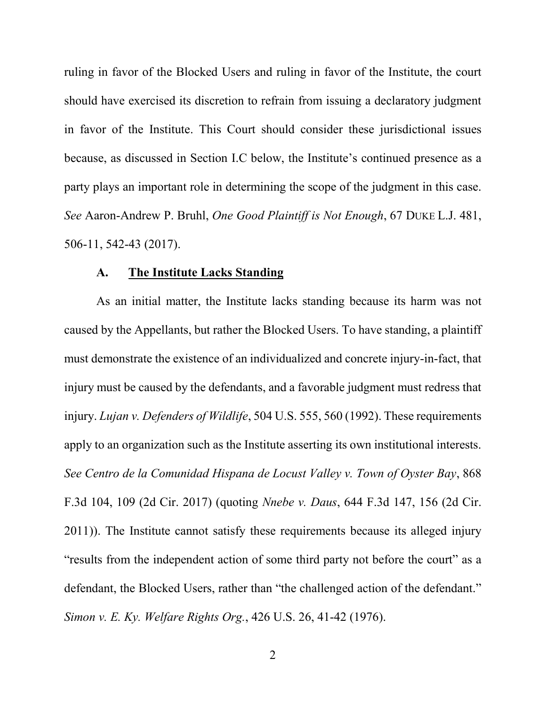ruling in favor of the Blocked Users and ruling in favor of the Institute, the court should have exercised its discretion to refrain from issuing a declaratory judgment in favor of the Institute. This Court should consider these jurisdictional issues because, as discussed in Section I.C below, the Institute's continued presence as a party plays an important role in determining the scope of the judgment in this case. *See* Aaron-Andrew P. Bruhl, *One Good Plaintiff is Not Enough*, 67 DUKE L.J. 481, 506-11, 542-43 (2017).

#### **A. The Institute Lacks Standing**

As an initial matter, the Institute lacks standing because its harm was not caused by the Appellants, but rather the Blocked Users. To have standing, a plaintiff must demonstrate the existence of an individualized and concrete injury-in-fact, that injury must be caused by the defendants, and a favorable judgment must redress that injury. *Lujan v. Defenders of Wildlife*, 504 U.S. 555, 560 (1992). These requirements apply to an organization such as the Institute asserting its own institutional interests. *See Centro de la Comunidad Hispana de Locust Valley v. Town of Oyster Bay*, 868 F.3d 104, 109 (2d Cir. 2017) (quoting *Nnebe v. Daus*, 644 F.3d 147, 156 (2d Cir. 2011)). The Institute cannot satisfy these requirements because its alleged injury "results from the independent action of some third party not before the court" as a defendant, the Blocked Users, rather than "the challenged action of the defendant." *Simon v. E. Ky. Welfare Rights Org.*, 426 U.S. 26, 41-42 (1976).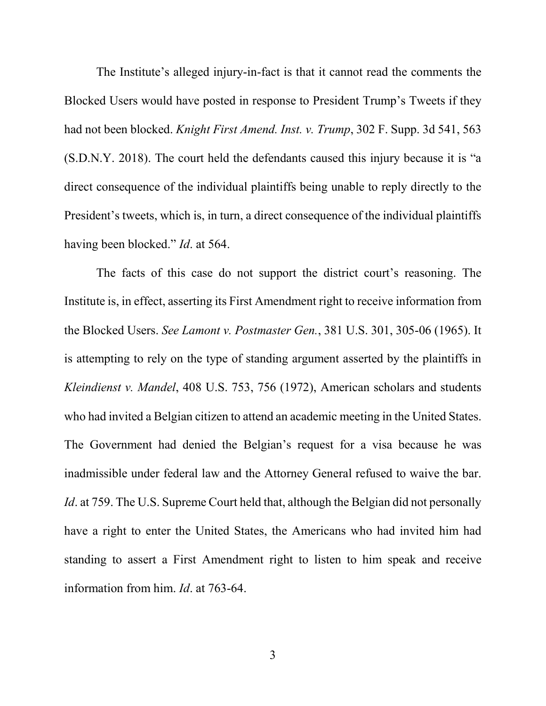The Institute's alleged injury-in-fact is that it cannot read the comments the Blocked Users would have posted in response to President Trump's Tweets if they had not been blocked. *Knight First Amend. Inst. v. Trump*, 302 F. Supp. 3d 541, 563 (S.D.N.Y. 2018). The court held the defendants caused this injury because it is "a direct consequence of the individual plaintiffs being unable to reply directly to the President's tweets, which is, in turn, a direct consequence of the individual plaintiffs having been blocked." *Id*. at 564.

The facts of this case do not support the district court's reasoning. The Institute is, in effect, asserting its First Amendment right to receive information from the Blocked Users. *See Lamont v. Postmaster Gen.*, 381 U.S. 301, 305-06 (1965). It is attempting to rely on the type of standing argument asserted by the plaintiffs in *Kleindienst v. Mandel*, 408 U.S. 753, 756 (1972), American scholars and students who had invited a Belgian citizen to attend an academic meeting in the United States. The Government had denied the Belgian's request for a visa because he was inadmissible under federal law and the Attorney General refused to waive the bar. *Id*. at 759. The U.S. Supreme Court held that, although the Belgian did not personally have a right to enter the United States, the Americans who had invited him had standing to assert a First Amendment right to listen to him speak and receive information from him. *Id*. at 763-64.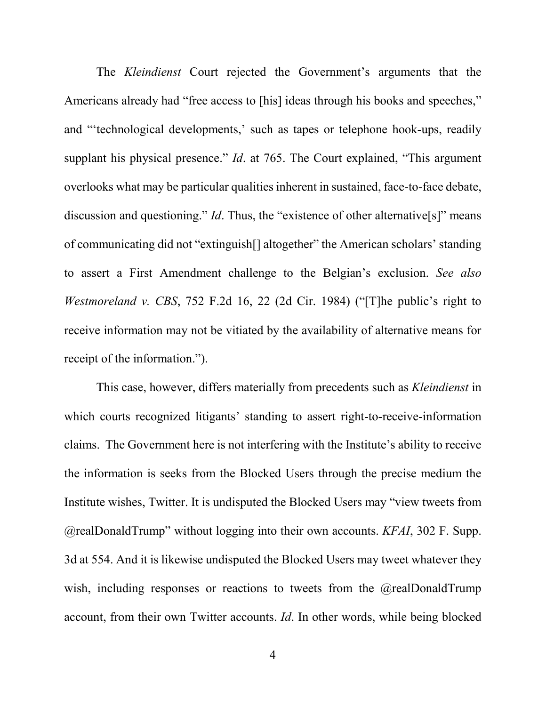The *Kleindienst* Court rejected the Government's arguments that the Americans already had "free access to [his] ideas through his books and speeches," and "'technological developments,' such as tapes or telephone hook-ups, readily supplant his physical presence." *Id*. at 765. The Court explained, "This argument overlooks what may be particular qualities inherent in sustained, face-to-face debate, discussion and questioning." *Id*. Thus, the "existence of other alternative<sup>[s]</sup>" means of communicating did not "extinguish[] altogether" the American scholars' standing to assert a First Amendment challenge to the Belgian's exclusion. *See also Westmoreland v. CBS*, 752 F.2d 16, 22 (2d Cir. 1984) ("The public's right to receive information may not be vitiated by the availability of alternative means for receipt of the information.").

This case, however, differs materially from precedents such as *Kleindienst* in which courts recognized litigants' standing to assert right-to-receive-information claims. The Government here is not interfering with the Institute's ability to receive the information is seeks from the Blocked Users through the precise medium the Institute wishes, Twitter. It is undisputed the Blocked Users may "view tweets from @realDonaldTrump" without logging into their own accounts. *KFAI*, 302 F. Supp. 3d at 554. And it is likewise undisputed the Blocked Users may tweet whatever they wish, including responses or reactions to tweets from the @realDonaldTrump account, from their own Twitter accounts. *Id*. In other words, while being blocked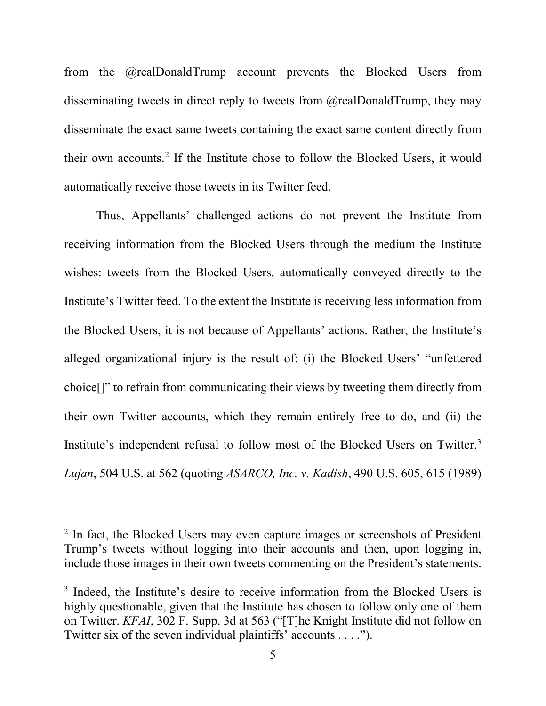from the @realDonaldTrump account prevents the Blocked Users from disseminating tweets in direct reply to tweets from @realDonaldTrump, they may disseminate the exact same tweets containing the exact same content directly from their own accounts.2 If the Institute chose to follow the Blocked Users, it would automatically receive those tweets in its Twitter feed.

Thus, Appellants' challenged actions do not prevent the Institute from receiving information from the Blocked Users through the medium the Institute wishes: tweets from the Blocked Users, automatically conveyed directly to the Institute's Twitter feed. To the extent the Institute is receiving less information from the Blocked Users, it is not because of Appellants' actions. Rather, the Institute's alleged organizational injury is the result of: (i) the Blocked Users' "unfettered choice[]" to refrain from communicating their views by tweeting them directly from their own Twitter accounts, which they remain entirely free to do, and (ii) the Institute's independent refusal to follow most of the Blocked Users on Twitter.3 *Lujan*, 504 U.S. at 562 (quoting *ASARCO, Inc. v. Kadish*, 490 U.S. 605, 615 (1989)

<sup>&</sup>lt;sup>2</sup> In fact, the Blocked Users may even capture images or screenshots of President Trump's tweets without logging into their accounts and then, upon logging in, include those images in their own tweets commenting on the President's statements.

<sup>&</sup>lt;sup>3</sup> Indeed, the Institute's desire to receive information from the Blocked Users is highly questionable, given that the Institute has chosen to follow only one of them on Twitter. *KFAI*, 302 F. Supp. 3d at 563 ("[T]he Knight Institute did not follow on Twitter six of the seven individual plaintiffs' accounts . . . .").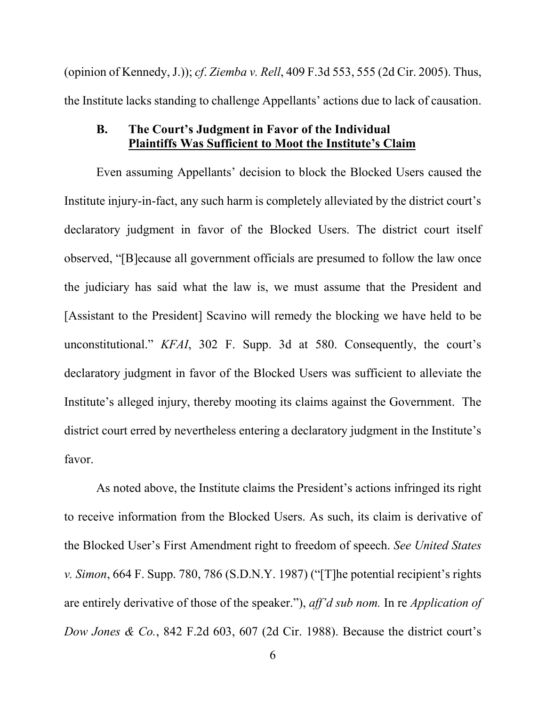(opinion of Kennedy, J.)); *cf*. *Ziemba v. Rell*, 409 F.3d 553, 555 (2d Cir. 2005). Thus, the Institute lacks standing to challenge Appellants' actions due to lack of causation.

#### **B. The Court's Judgment in Favor of the Individual Plaintiffs Was Sufficient to Moot the Institute's Claim**

Even assuming Appellants' decision to block the Blocked Users caused the Institute injury-in-fact, any such harm is completely alleviated by the district court's declaratory judgment in favor of the Blocked Users. The district court itself observed, "[B]ecause all government officials are presumed to follow the law once the judiciary has said what the law is, we must assume that the President and [Assistant to the President] Scavino will remedy the blocking we have held to be unconstitutional." *KFAI*, 302 F. Supp. 3d at 580. Consequently, the court's declaratory judgment in favor of the Blocked Users was sufficient to alleviate the Institute's alleged injury, thereby mooting its claims against the Government. The district court erred by nevertheless entering a declaratory judgment in the Institute's favor.

As noted above, the Institute claims the President's actions infringed its right to receive information from the Blocked Users. As such, its claim is derivative of the Blocked User's First Amendment right to freedom of speech. *See United States v. Simon*, 664 F. Supp. 780, 786 (S.D.N.Y. 1987) ("[T]he potential recipient's rights are entirely derivative of those of the speaker."), *aff'd sub nom.* In re *Application of Dow Jones & Co.*, 842 F.2d 603, 607 (2d Cir. 1988). Because the district court's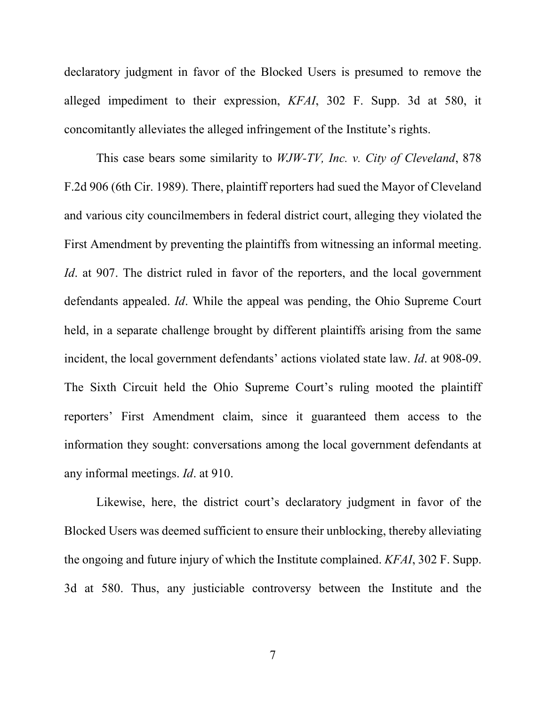declaratory judgment in favor of the Blocked Users is presumed to remove the alleged impediment to their expression, *KFAI*, 302 F. Supp. 3d at 580, it concomitantly alleviates the alleged infringement of the Institute's rights.

This case bears some similarity to *WJW-TV, Inc. v. City of Cleveland*, 878 F.2d 906 (6th Cir. 1989). There, plaintiff reporters had sued the Mayor of Cleveland and various city councilmembers in federal district court, alleging they violated the First Amendment by preventing the plaintiffs from witnessing an informal meeting. *Id.* at 907. The district ruled in favor of the reporters, and the local government defendants appealed. *Id*. While the appeal was pending, the Ohio Supreme Court held, in a separate challenge brought by different plaintiffs arising from the same incident, the local government defendants' actions violated state law. *Id*. at 908-09. The Sixth Circuit held the Ohio Supreme Court's ruling mooted the plaintiff reporters' First Amendment claim, since it guaranteed them access to the information they sought: conversations among the local government defendants at any informal meetings. *Id*. at 910.

Likewise, here, the district court's declaratory judgment in favor of the Blocked Users was deemed sufficient to ensure their unblocking, thereby alleviating the ongoing and future injury of which the Institute complained. *KFAI*, 302 F. Supp. 3d at 580. Thus, any justiciable controversy between the Institute and the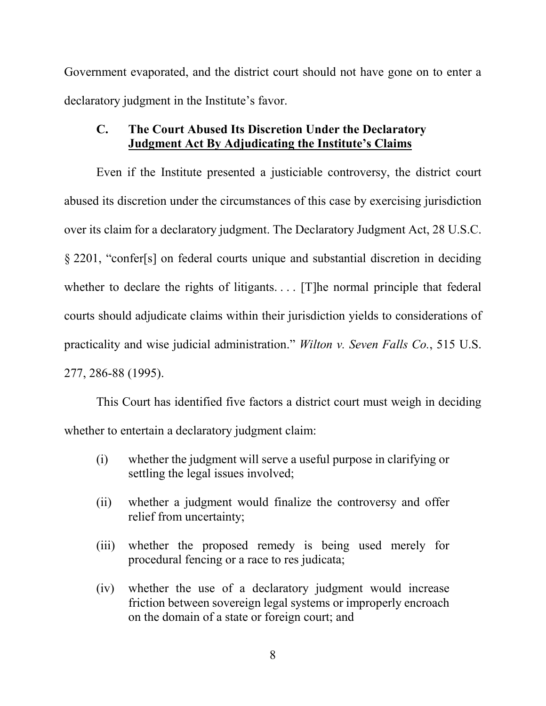Government evaporated, and the district court should not have gone on to enter a declaratory judgment in the Institute's favor.

## **C. The Court Abused Its Discretion Under the Declaratory Judgment Act By Adjudicating the Institute's Claims**

Even if the Institute presented a justiciable controversy, the district court abused its discretion under the circumstances of this case by exercising jurisdiction over its claim for a declaratory judgment. The Declaratory Judgment Act, 28 U.S.C. § 2201, "confer[s] on federal courts unique and substantial discretion in deciding whether to declare the rights of litigants.... [T]he normal principle that federal courts should adjudicate claims within their jurisdiction yields to considerations of practicality and wise judicial administration." *Wilton v. Seven Falls Co.*, 515 U.S. 277, 286-88 (1995).

This Court has identified five factors a district court must weigh in deciding whether to entertain a declaratory judgment claim:

- (i) whether the judgment will serve a useful purpose in clarifying or settling the legal issues involved;
- (ii) whether a judgment would finalize the controversy and offer relief from uncertainty;
- (iii) whether the proposed remedy is being used merely for procedural fencing or a race to res judicata;
- (iv) whether the use of a declaratory judgment would increase friction between sovereign legal systems or improperly encroach on the domain of a state or foreign court; and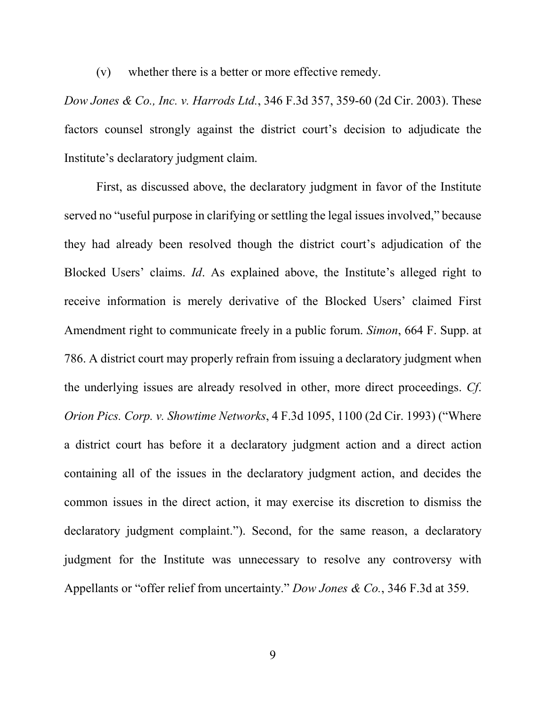(v) whether there is a better or more effective remedy.

*Dow Jones & Co., Inc. v. Harrods Ltd.*, 346 F.3d 357, 359-60 (2d Cir. 2003). These factors counsel strongly against the district court's decision to adjudicate the Institute's declaratory judgment claim.

First, as discussed above, the declaratory judgment in favor of the Institute served no "useful purpose in clarifying or settling the legal issues involved," because they had already been resolved though the district court's adjudication of the Blocked Users' claims. *Id*. As explained above, the Institute's alleged right to receive information is merely derivative of the Blocked Users' claimed First Amendment right to communicate freely in a public forum. *Simon*, 664 F. Supp. at 786. A district court may properly refrain from issuing a declaratory judgment when the underlying issues are already resolved in other, more direct proceedings. *Cf*. *Orion Pics. Corp. v. Showtime Networks*, 4 F.3d 1095, 1100 (2d Cir. 1993) ("Where a district court has before it a declaratory judgment action and a direct action containing all of the issues in the declaratory judgment action, and decides the common issues in the direct action, it may exercise its discretion to dismiss the declaratory judgment complaint."). Second, for the same reason, a declaratory judgment for the Institute was unnecessary to resolve any controversy with Appellants or "offer relief from uncertainty." *Dow Jones & Co.*, 346 F.3d at 359.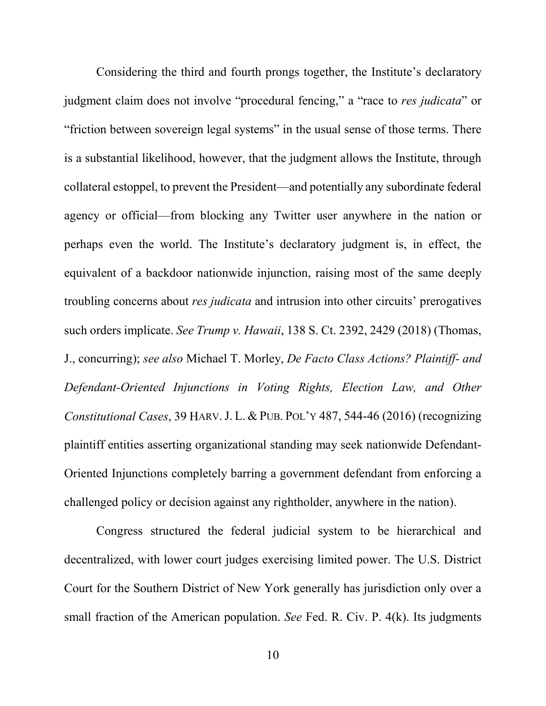Considering the third and fourth prongs together, the Institute's declaratory judgment claim does not involve "procedural fencing," a "race to *res judicata*" or "friction between sovereign legal systems" in the usual sense of those terms. There is a substantial likelihood, however, that the judgment allows the Institute, through collateral estoppel, to prevent the President—and potentially any subordinate federal agency or official—from blocking any Twitter user anywhere in the nation or perhaps even the world. The Institute's declaratory judgment is, in effect, the equivalent of a backdoor nationwide injunction, raising most of the same deeply troubling concerns about *res judicata* and intrusion into other circuits' prerogatives such orders implicate. *See Trump v. Hawaii*, 138 S. Ct. 2392, 2429 (2018) (Thomas, J., concurring); *see also* Michael T. Morley, *De Facto Class Actions? Plaintiff- and Defendant-Oriented Injunctions in Voting Rights, Election Law, and Other Constitutional Cases*, 39 HARV.J. L. & PUB. POL'Y 487, 544-46 (2016) (recognizing plaintiff entities asserting organizational standing may seek nationwide Defendant-Oriented Injunctions completely barring a government defendant from enforcing a challenged policy or decision against any rightholder, anywhere in the nation).

Congress structured the federal judicial system to be hierarchical and decentralized, with lower court judges exercising limited power. The U.S. District Court for the Southern District of New York generally has jurisdiction only over a small fraction of the American population. *See* Fed. R. Civ. P. 4(k). Its judgments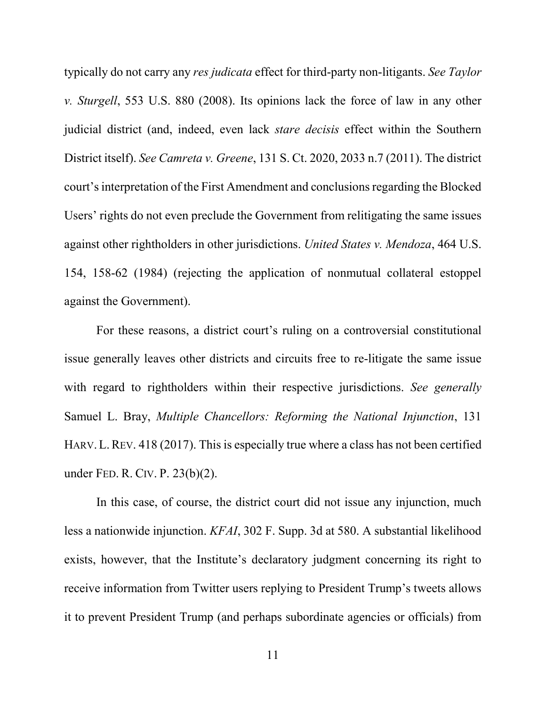typically do not carry any *res judicata* effect for third-party non-litigants. *See Taylor v. Sturgell*, 553 U.S. 880 (2008). Its opinions lack the force of law in any other judicial district (and, indeed, even lack *stare decisis* effect within the Southern District itself). *See Camreta v. Greene*, 131 S. Ct. 2020, 2033 n.7 (2011). The district court's interpretation of the First Amendment and conclusions regarding the Blocked Users' rights do not even preclude the Government from relitigating the same issues against other rightholders in other jurisdictions. *United States v. Mendoza*, 464 U.S. 154, 158-62 (1984) (rejecting the application of nonmutual collateral estoppel against the Government).

For these reasons, a district court's ruling on a controversial constitutional issue generally leaves other districts and circuits free to re-litigate the same issue with regard to rightholders within their respective jurisdictions. *See generally*  Samuel L. Bray, *Multiple Chancellors: Reforming the National Injunction*, 131 HARV. L. REV. 418 (2017). This is especially true where a class has not been certified under FED. R. CIV. P. 23(b)(2).

In this case, of course, the district court did not issue any injunction, much less a nationwide injunction. *KFAI*, 302 F. Supp. 3d at 580. A substantial likelihood exists, however, that the Institute's declaratory judgment concerning its right to receive information from Twitter users replying to President Trump's tweets allows it to prevent President Trump (and perhaps subordinate agencies or officials) from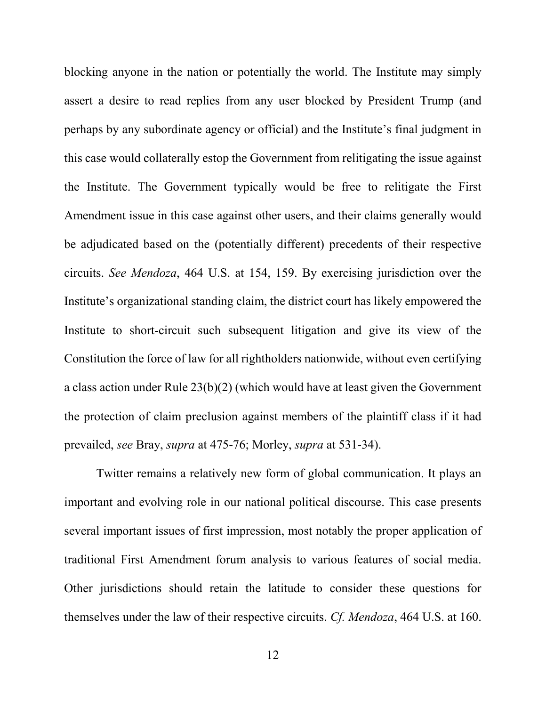blocking anyone in the nation or potentially the world. The Institute may simply assert a desire to read replies from any user blocked by President Trump (and perhaps by any subordinate agency or official) and the Institute's final judgment in this case would collaterally estop the Government from relitigating the issue against the Institute. The Government typically would be free to relitigate the First Amendment issue in this case against other users, and their claims generally would be adjudicated based on the (potentially different) precedents of their respective circuits. *See Mendoza*, 464 U.S. at 154, 159. By exercising jurisdiction over the Institute's organizational standing claim, the district court has likely empowered the Institute to short-circuit such subsequent litigation and give its view of the Constitution the force of law for all rightholders nationwide, without even certifying a class action under Rule 23(b)(2) (which would have at least given the Government the protection of claim preclusion against members of the plaintiff class if it had prevailed, *see* Bray, *supra* at 475-76; Morley, *supra* at 531-34).

Twitter remains a relatively new form of global communication. It plays an important and evolving role in our national political discourse. This case presents several important issues of first impression, most notably the proper application of traditional First Amendment forum analysis to various features of social media. Other jurisdictions should retain the latitude to consider these questions for themselves under the law of their respective circuits. *Cf. Mendoza*, 464 U.S. at 160.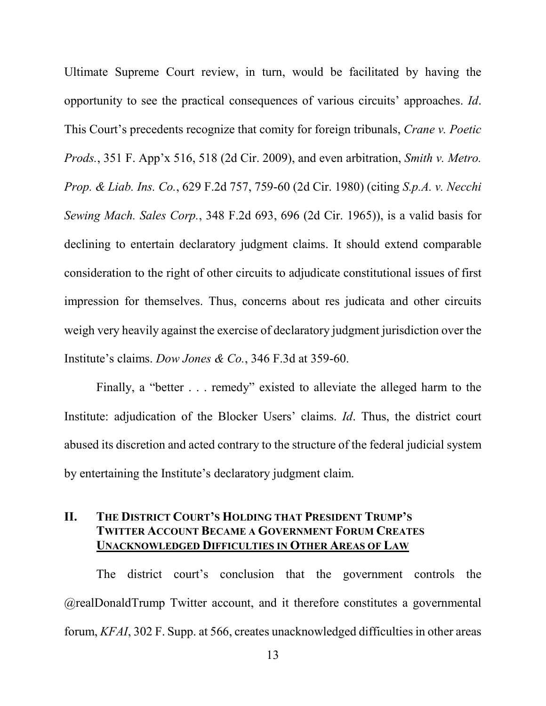Ultimate Supreme Court review, in turn, would be facilitated by having the opportunity to see the practical consequences of various circuits' approaches. *Id*. This Court's precedents recognize that comity for foreign tribunals, *Crane v. Poetic Prods.*, 351 F. App'x 516, 518 (2d Cir. 2009), and even arbitration, *Smith v. Metro. Prop. & Liab. Ins. Co.*, 629 F.2d 757, 759-60 (2d Cir. 1980) (citing *S.p.A. v. Necchi Sewing Mach. Sales Corp.*, 348 F.2d 693, 696 (2d Cir. 1965)), is a valid basis for declining to entertain declaratory judgment claims. It should extend comparable consideration to the right of other circuits to adjudicate constitutional issues of first impression for themselves. Thus, concerns about res judicata and other circuits weigh very heavily against the exercise of declaratory judgment jurisdiction over the Institute's claims. *Dow Jones & Co.*, 346 F.3d at 359-60.

Finally, a "better . . . remedy" existed to alleviate the alleged harm to the Institute: adjudication of the Blocker Users' claims. *Id*. Thus, the district court abused its discretion and acted contrary to the structure of the federal judicial system by entertaining the Institute's declaratory judgment claim.

#### **II. THE DISTRICT COURT'S HOLDING THAT PRESIDENT TRUMP'S TWITTER ACCOUNT BECAME A GOVERNMENT FORUM CREATES UNACKNOWLEDGED DIFFICULTIES IN OTHER AREAS OF LAW**

The district court's conclusion that the government controls the @realDonaldTrump Twitter account, and it therefore constitutes a governmental forum, *KFAI*, 302 F. Supp. at 566, creates unacknowledged difficulties in other areas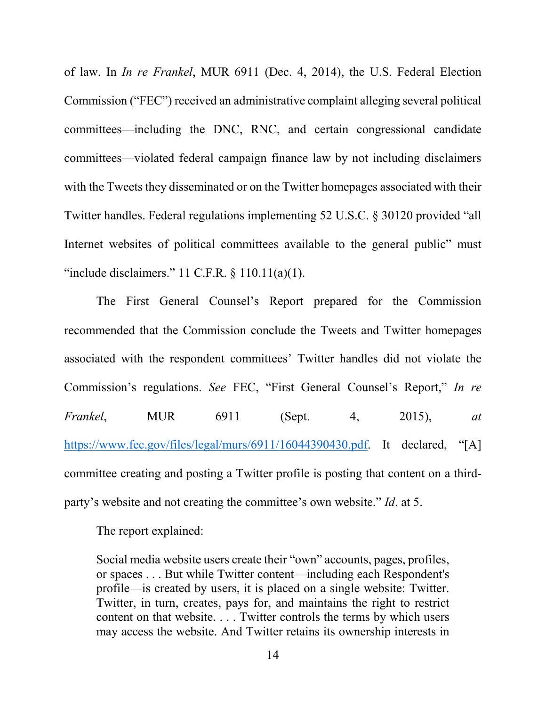of law. In *In re Frankel*, MUR 6911 (Dec. 4, 2014), the U.S. Federal Election Commission ("FEC") received an administrative complaint alleging several political committees—including the DNC, RNC, and certain congressional candidate committees—violated federal campaign finance law by not including disclaimers with the Tweets they disseminated or on the Twitter homepages associated with their Twitter handles. Federal regulations implementing 52 U.S.C. § 30120 provided "all Internet websites of political committees available to the general public" must "include disclaimers."  $11$  C.F.R. §  $110.11(a)(1)$ .

The First General Counsel's Report prepared for the Commission recommended that the Commission conclude the Tweets and Twitter homepages associated with the respondent committees' Twitter handles did not violate the Commission's regulations. *See* FEC, "First General Counsel's Report," *In re Frankel*, MUR 6911 (Sept. 4, 2015), *at*  https://www.fec.gov/files/legal/murs/6911/16044390430.pdf. It declared, "[A] committee creating and posting a Twitter profile is posting that content on a thirdparty's website and not creating the committee's own website." *Id*. at 5.

The report explained:

Social media website users create their "own" accounts, pages, profiles, or spaces . . . But while Twitter content—including each Respondent's profile—is created by users, it is placed on a single website: Twitter. Twitter, in turn, creates, pays for, and maintains the right to restrict content on that website. . . . Twitter controls the terms by which users may access the website. And Twitter retains its ownership interests in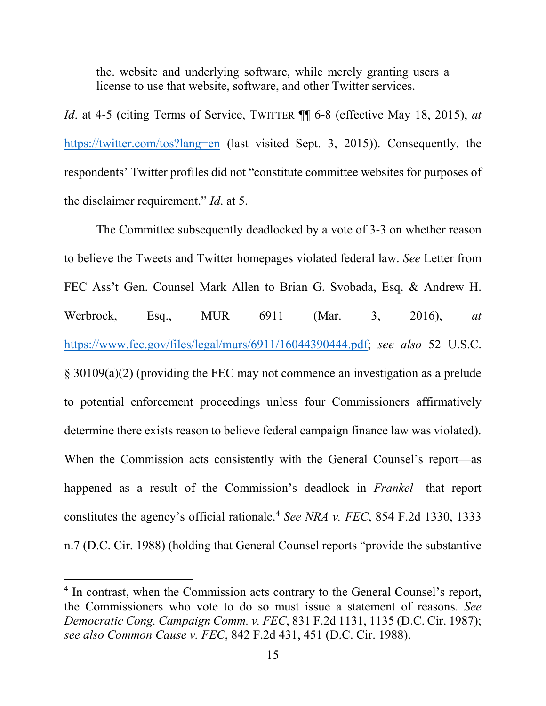the. website and underlying software, while merely granting users a license to use that website, software, and other Twitter services.

*Id.* at 4-5 (citing Terms of Service, TWITTER  $\P$  6-8 (effective May 18, 2015), *at* https://twitter.com/tos?lang=en (last visited Sept. 3, 2015)). Consequently, the respondents' Twitter profiles did not "constitute committee websites for purposes of the disclaimer requirement." *Id*. at 5.

The Committee subsequently deadlocked by a vote of 3-3 on whether reason to believe the Tweets and Twitter homepages violated federal law. *See* Letter from FEC Ass't Gen. Counsel Mark Allen to Brian G. Svobada, Esq. & Andrew H. Werbrock, Esq., MUR 6911 (Mar. 3, 2016), *at*  https://www.fec.gov/files/legal/murs/6911/16044390444.pdf; *see also* 52 U.S.C. § 30109(a)(2) (providing the FEC may not commence an investigation as a prelude to potential enforcement proceedings unless four Commissioners affirmatively determine there exists reason to believe federal campaign finance law was violated). When the Commission acts consistently with the General Counsel's report—as happened as a result of the Commission's deadlock in *Frankel*—that report constitutes the agency's official rationale.4 *See NRA v. FEC*, 854 F.2d 1330, 1333 n.7 (D.C. Cir. 1988) (holding that General Counsel reports "provide the substantive

<sup>&</sup>lt;sup>4</sup> In contrast, when the Commission acts contrary to the General Counsel's report, the Commissioners who vote to do so must issue a statement of reasons. *See Democratic Cong. Campaign Comm. v. FEC*, 831 F.2d 1131, 1135 (D.C. Cir. 1987); *see also Common Cause v. FEC*, 842 F.2d 431, 451 (D.C. Cir. 1988).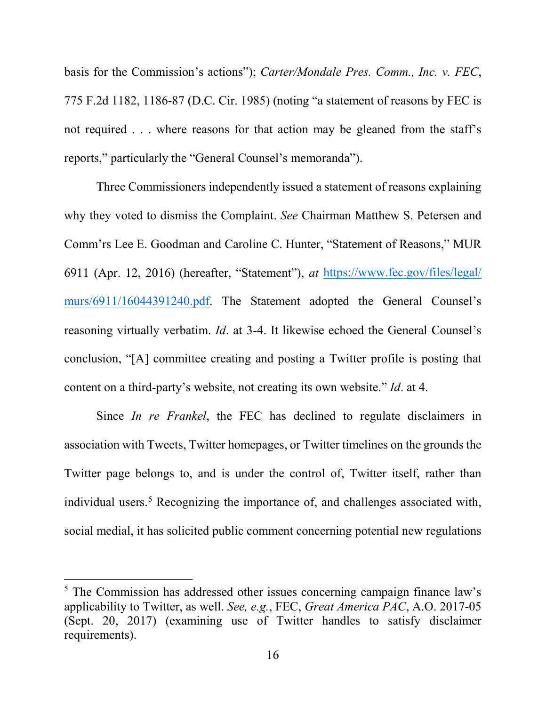basis for the Commission's actions"); *Carter/Mondale Pres. Comm., Inc. v. FEC*, 775 F.2d 1182, 1186-87 (D.C. Cir. 1985) (noting "a statement of reasons by FEC is not required . . . where reasons for that action may be gleaned from the staff's reports," particularly the "General Counsel's memoranda").

Three Commissioners independently issued a statement of reasons explaining why they voted to dismiss the Complaint. *See* Chairman Matthew S. Petersen and Comm'rs Lee E. Goodman and Caroline C. Hunter, "Statement of Reasons," MUR 6911 (Apr. 12, 2016) (hereafter, "Statement"), *at* https://www.fec.gov/files/legal/ murs/6911/16044391240.pdf. The Statement adopted the General Counsel's reasoning virtually verbatim. *Id*. at 3-4. It likewise echoed the General Counsel's conclusion, "[A] committee creating and posting a Twitter profile is posting that content on a third-party's website, not creating its own website." *Id*. at 4.

Since *In re Frankel*, the FEC has declined to regulate disclaimers in association with Tweets, Twitter homepages, or Twitter timelines on the grounds the Twitter page belongs to, and is under the control of, Twitter itself, rather than individual users.<sup>5</sup> Recognizing the importance of, and challenges associated with, social medial, it has solicited public comment concerning potential new regulations

 <sup>5</sup> The Commission has addressed other issues concerning campaign finance law's applicability to Twitter, as well. *See, e.g.*, FEC, *Great America PAC*, A.O. 2017-05 (Sept. 20, 2017) (examining use of Twitter handles to satisfy disclaimer requirements).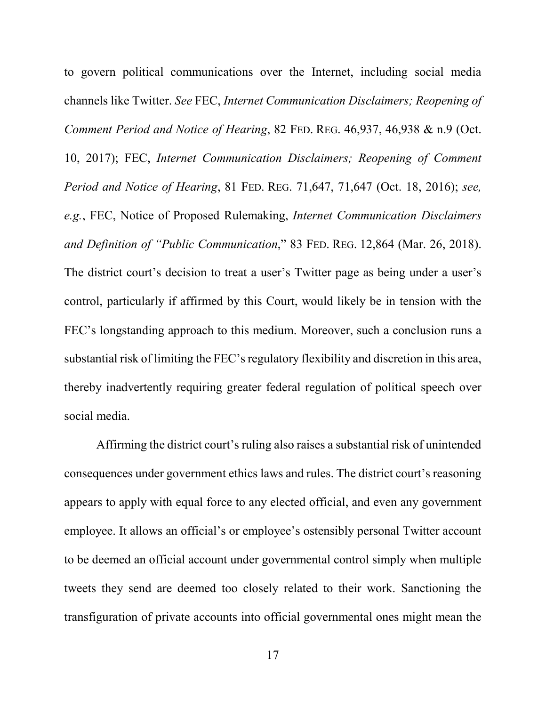to govern political communications over the Internet, including social media channels like Twitter. *See* FEC, *Internet Communication Disclaimers; Reopening of Comment Period and Notice of Hearing*, 82 FED. REG. 46,937, 46,938 & n.9 (Oct. 10, 2017); FEC, *Internet Communication Disclaimers; Reopening of Comment Period and Notice of Hearing*, 81 FED. REG. 71,647, 71,647 (Oct. 18, 2016); *see, e.g.*, FEC, Notice of Proposed Rulemaking, *Internet Communication Disclaimers and Definition of "Public Communication*," 83 FED. REG. 12,864 (Mar. 26, 2018). The district court's decision to treat a user's Twitter page as being under a user's control, particularly if affirmed by this Court, would likely be in tension with the FEC's longstanding approach to this medium. Moreover, such a conclusion runs a substantial risk of limiting the FEC's regulatory flexibility and discretion in this area, thereby inadvertently requiring greater federal regulation of political speech over social media.

Affirming the district court's ruling also raises a substantial risk of unintended consequences under government ethics laws and rules. The district court's reasoning appears to apply with equal force to any elected official, and even any government employee. It allows an official's or employee's ostensibly personal Twitter account to be deemed an official account under governmental control simply when multiple tweets they send are deemed too closely related to their work. Sanctioning the transfiguration of private accounts into official governmental ones might mean the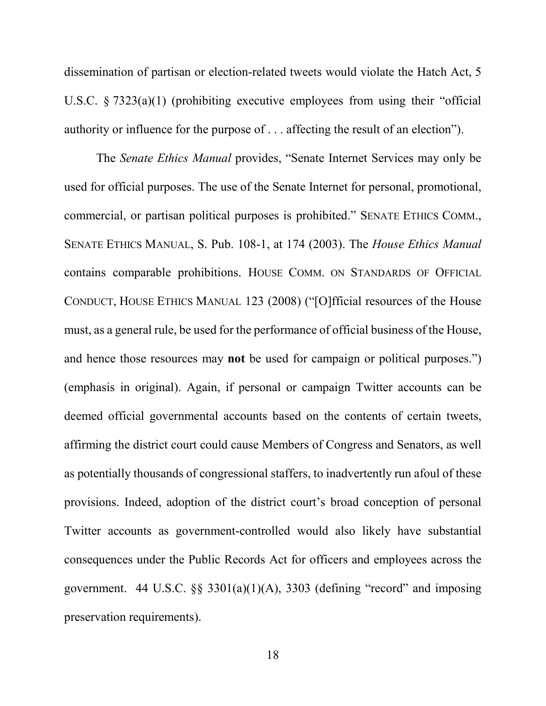dissemination of partisan or election-related tweets would violate the Hatch Act, 5 U.S.C. § 7323(a)(1) (prohibiting executive employees from using their "official authority or influence for the purpose of . . . affecting the result of an election").

The *Senate Ethics Manual* provides, "Senate Internet Services may only be used for official purposes. The use of the Senate Internet for personal, promotional, commercial, or partisan political purposes is prohibited." SENATE ETHICS COMM., SENATE ETHICS MANUAL, S. Pub. 108-1, at 174 (2003). The *House Ethics Manual*  contains comparable prohibitions. HOUSE COMM. ON STANDARDS OF OFFICIAL CONDUCT, HOUSE ETHICS MANUAL 123 (2008) ("[O]fficial resources of the House must, as a general rule, be used for the performance of official business of the House, and hence those resources may **not** be used for campaign or political purposes.") (emphasis in original). Again, if personal or campaign Twitter accounts can be deemed official governmental accounts based on the contents of certain tweets, affirming the district court could cause Members of Congress and Senators, as well as potentially thousands of congressional staffers, to inadvertently run afoul of these provisions. Indeed, adoption of the district court's broad conception of personal Twitter accounts as government-controlled would also likely have substantial consequences under the Public Records Act for officers and employees across the government. 44 U.S.C.  $\&$  3301(a)(1)(A), 3303 (defining "record" and imposing preservation requirements).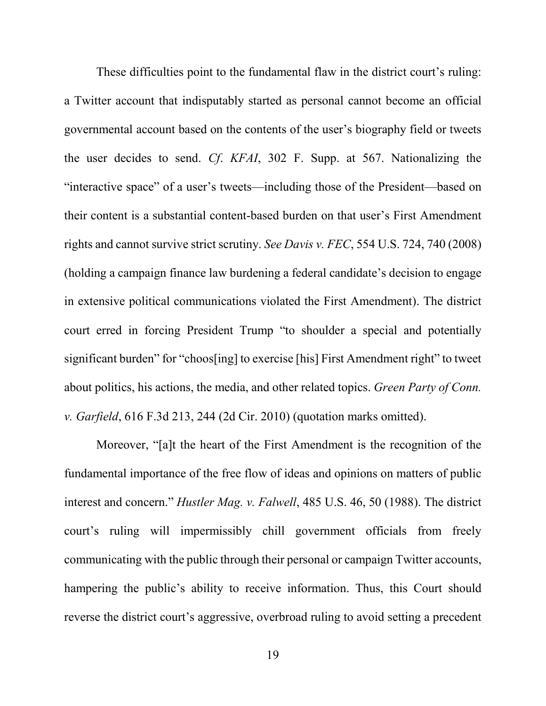These difficulties point to the fundamental flaw in the district court's ruling: a Twitter account that indisputably started as personal cannot become an official governmental account based on the contents of the user's biography field or tweets the user decides to send. *Cf*. *KFAI*, 302 F. Supp. at 567. Nationalizing the "interactive space" of a user's tweets—including those of the President—based on their content is a substantial content-based burden on that user's First Amendment rights and cannot survive strict scrutiny. *See Davis v. FEC*, 554 U.S. 724, 740 (2008) (holding a campaign finance law burdening a federal candidate's decision to engage in extensive political communications violated the First Amendment). The district court erred in forcing President Trump "to shoulder a special and potentially significant burden" for "choos[ing] to exercise [his] First Amendment right" to tweet about politics, his actions, the media, and other related topics. *Green Party of Conn. v. Garfield*, 616 F.3d 213, 244 (2d Cir. 2010) (quotation marks omitted).

Moreover, "[a]t the heart of the First Amendment is the recognition of the fundamental importance of the free flow of ideas and opinions on matters of public interest and concern." *Hustler Mag. v. Falwell*, 485 U.S. 46, 50 (1988). The district court's ruling will impermissibly chill government officials from freely communicating with the public through their personal or campaign Twitter accounts, hampering the public's ability to receive information. Thus, this Court should reverse the district court's aggressive, overbroad ruling to avoid setting a precedent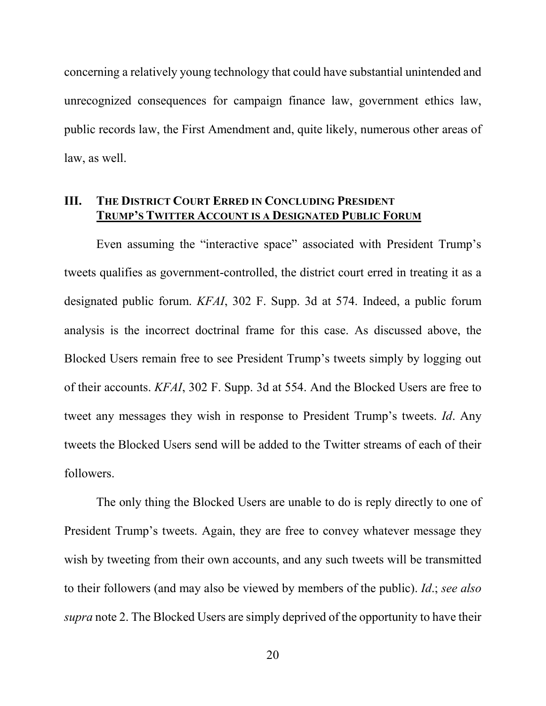concerning a relatively young technology that could have substantial unintended and unrecognized consequences for campaign finance law, government ethics law, public records law, the First Amendment and, quite likely, numerous other areas of law, as well.

#### **III. THE DISTRICT COURT ERRED IN CONCLUDING PRESIDENT TRUMP'S TWITTER ACCOUNT IS A DESIGNATED PUBLIC FORUM**

Even assuming the "interactive space" associated with President Trump's tweets qualifies as government-controlled, the district court erred in treating it as a designated public forum. *KFAI*, 302 F. Supp. 3d at 574. Indeed, a public forum analysis is the incorrect doctrinal frame for this case. As discussed above, the Blocked Users remain free to see President Trump's tweets simply by logging out of their accounts. *KFAI*, 302 F. Supp. 3d at 554. And the Blocked Users are free to tweet any messages they wish in response to President Trump's tweets. *Id*. Any tweets the Blocked Users send will be added to the Twitter streams of each of their followers.

The only thing the Blocked Users are unable to do is reply directly to one of President Trump's tweets. Again, they are free to convey whatever message they wish by tweeting from their own accounts, and any such tweets will be transmitted to their followers (and may also be viewed by members of the public). *Id*.; *see also supra* note 2. The Blocked Users are simply deprived of the opportunity to have their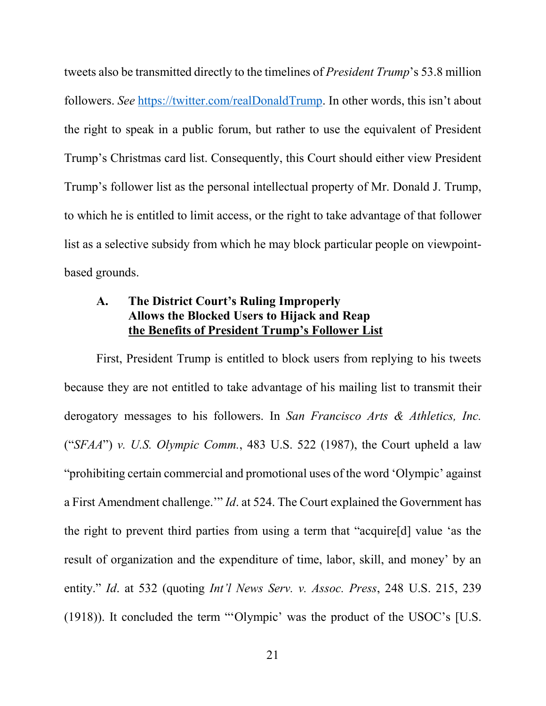tweets also be transmitted directly to the timelines of *President Trump*'s 53.8 million followers. *See* https://twitter.com/realDonaldTrump. In other words, this isn't about the right to speak in a public forum, but rather to use the equivalent of President Trump's Christmas card list. Consequently, this Court should either view President Trump's follower list as the personal intellectual property of Mr. Donald J. Trump, to which he is entitled to limit access, or the right to take advantage of that follower list as a selective subsidy from which he may block particular people on viewpointbased grounds.

## **A. The District Court's Ruling Improperly Allows the Blocked Users to Hijack and Reap the Benefits of President Trump's Follower List**

First, President Trump is entitled to block users from replying to his tweets because they are not entitled to take advantage of his mailing list to transmit their derogatory messages to his followers. In *San Francisco Arts & Athletics, Inc.*  ("*SFAA*") *v. U.S. Olympic Comm.*, 483 U.S. 522 (1987), the Court upheld a law "prohibiting certain commercial and promotional uses of the word 'Olympic' against a First Amendment challenge.'" *Id*. at 524. The Court explained the Government has the right to prevent third parties from using a term that "acquire[d] value 'as the result of organization and the expenditure of time, labor, skill, and money' by an entity." *Id*. at 532 (quoting *Int'l News Serv. v. Assoc. Press*, 248 U.S. 215, 239 (1918)). It concluded the term "'Olympic' was the product of the USOC's [U.S.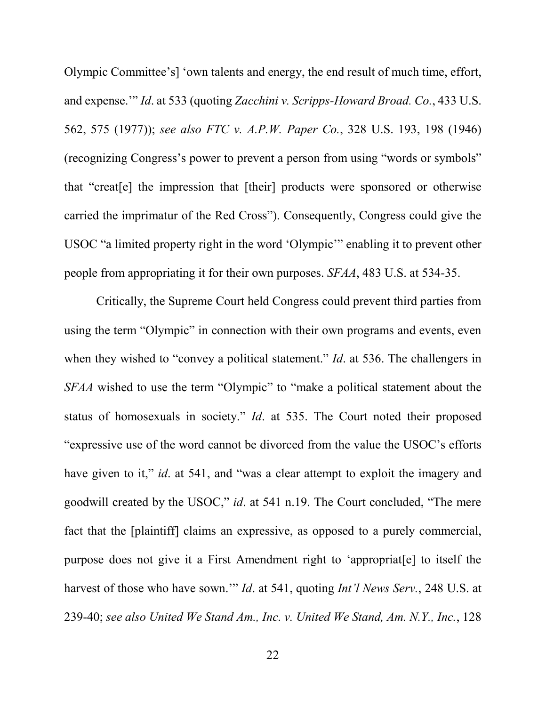Olympic Committee's] 'own talents and energy, the end result of much time, effort, and expense.'" *Id*. at 533 (quoting *Zacchini v. Scripps-Howard Broad. Co.*, 433 U.S. 562, 575 (1977)); *see also FTC v. A.P.W. Paper Co.*, 328 U.S. 193, 198 (1946) (recognizing Congress's power to prevent a person from using "words or symbols" that "creat[e] the impression that [their] products were sponsored or otherwise carried the imprimatur of the Red Cross"). Consequently, Congress could give the USOC "a limited property right in the word 'Olympic'" enabling it to prevent other people from appropriating it for their own purposes. *SFAA*, 483 U.S. at 534-35.

Critically, the Supreme Court held Congress could prevent third parties from using the term "Olympic" in connection with their own programs and events, even when they wished to "convey a political statement." *Id*. at 536. The challengers in *SFAA* wished to use the term "Olympic" to "make a political statement about the status of homosexuals in society." *Id*. at 535. The Court noted their proposed "expressive use of the word cannot be divorced from the value the USOC's efforts have given to it," *id*. at 541, and "was a clear attempt to exploit the imagery and goodwill created by the USOC," *id*. at 541 n.19. The Court concluded, "The mere fact that the [plaintiff] claims an expressive, as opposed to a purely commercial, purpose does not give it a First Amendment right to 'appropriat[e] to itself the harvest of those who have sown.'" *Id*. at 541, quoting *Int'l News Serv.*, 248 U.S. at 239-40; *see also United We Stand Am., Inc. v. United We Stand, Am. N.Y., Inc.*, 128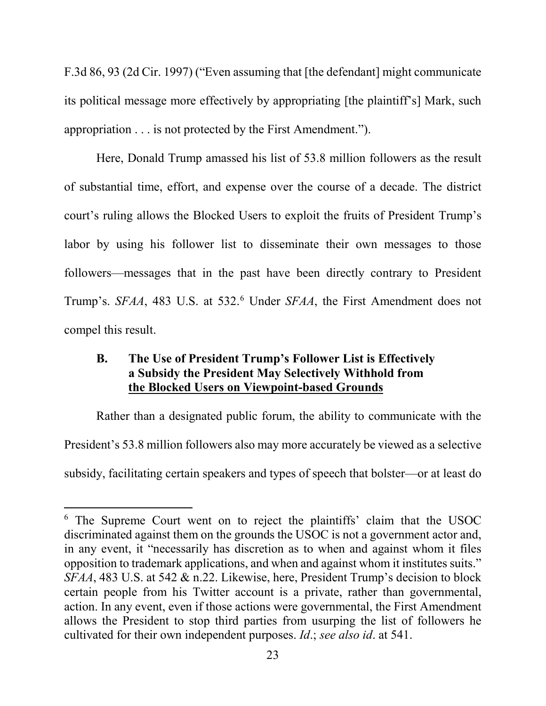F.3d 86, 93 (2d Cir. 1997) ("Even assuming that [the defendant] might communicate its political message more effectively by appropriating [the plaintiff's] Mark, such appropriation . . . is not protected by the First Amendment.").

Here, Donald Trump amassed his list of 53.8 million followers as the result of substantial time, effort, and expense over the course of a decade. The district court's ruling allows the Blocked Users to exploit the fruits of President Trump's labor by using his follower list to disseminate their own messages to those followers—messages that in the past have been directly contrary to President Trump's. *SFAA*, 483 U.S. at 532.6 Under *SFAA*, the First Amendment does not compel this result.

## **B. The Use of President Trump's Follower List is Effectively a Subsidy the President May Selectively Withhold from the Blocked Users on Viewpoint-based Grounds**

Rather than a designated public forum, the ability to communicate with the President's 53.8 million followers also may more accurately be viewed as a selective subsidy, facilitating certain speakers and types of speech that bolster—or at least do

 <sup>6</sup> The Supreme Court went on to reject the plaintiffs' claim that the USOC discriminated against them on the grounds the USOC is not a government actor and, in any event, it "necessarily has discretion as to when and against whom it files opposition to trademark applications, and when and against whom it institutes suits." *SFAA*, 483 U.S. at 542 & n.22. Likewise, here, President Trump's decision to block certain people from his Twitter account is a private, rather than governmental, action. In any event, even if those actions were governmental, the First Amendment allows the President to stop third parties from usurping the list of followers he cultivated for their own independent purposes. *Id*.; *see also id*. at 541.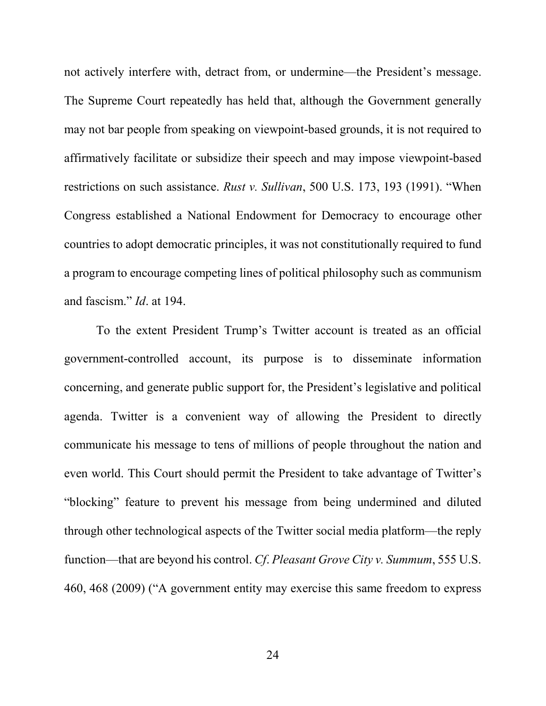not actively interfere with, detract from, or undermine—the President's message. The Supreme Court repeatedly has held that, although the Government generally may not bar people from speaking on viewpoint-based grounds, it is not required to affirmatively facilitate or subsidize their speech and may impose viewpoint-based restrictions on such assistance. *Rust v. Sullivan*, 500 U.S. 173, 193 (1991). "When Congress established a National Endowment for Democracy to encourage other countries to adopt democratic principles, it was not constitutionally required to fund a program to encourage competing lines of political philosophy such as communism and fascism." *Id*. at 194.

To the extent President Trump's Twitter account is treated as an official government-controlled account, its purpose is to disseminate information concerning, and generate public support for, the President's legislative and political agenda. Twitter is a convenient way of allowing the President to directly communicate his message to tens of millions of people throughout the nation and even world. This Court should permit the President to take advantage of Twitter's "blocking" feature to prevent his message from being undermined and diluted through other technological aspects of the Twitter social media platform—the reply function—that are beyond his control. *Cf*. *Pleasant Grove City v. Summum*, 555 U.S. 460, 468 (2009) ("A government entity may exercise this same freedom to express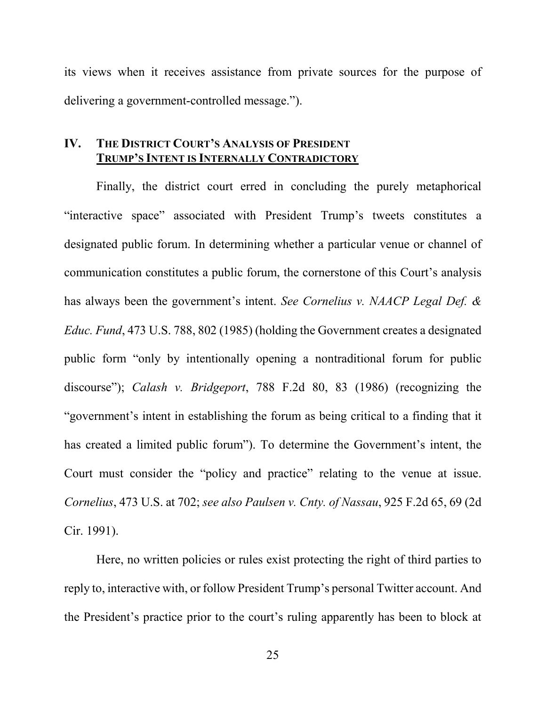its views when it receives assistance from private sources for the purpose of delivering a government-controlled message.").

#### **IV. THE DISTRICT COURT'S ANALYSIS OF PRESIDENT TRUMP'S INTENT IS INTERNALLY CONTRADICTORY**

Finally, the district court erred in concluding the purely metaphorical "interactive space" associated with President Trump's tweets constitutes a designated public forum. In determining whether a particular venue or channel of communication constitutes a public forum, the cornerstone of this Court's analysis has always been the government's intent. *See Cornelius v. NAACP Legal Def. & Educ. Fund*, 473 U.S. 788, 802 (1985) (holding the Government creates a designated public form "only by intentionally opening a nontraditional forum for public discourse"); *Calash v. Bridgeport*, 788 F.2d 80, 83 (1986) (recognizing the "government's intent in establishing the forum as being critical to a finding that it has created a limited public forum"). To determine the Government's intent, the Court must consider the "policy and practice" relating to the venue at issue. *Cornelius*, 473 U.S. at 702; *see also Paulsen v. Cnty. of Nassau*, 925 F.2d 65, 69 (2d Cir. 1991).

Here, no written policies or rules exist protecting the right of third parties to reply to, interactive with, or follow President Trump's personal Twitter account. And the President's practice prior to the court's ruling apparently has been to block at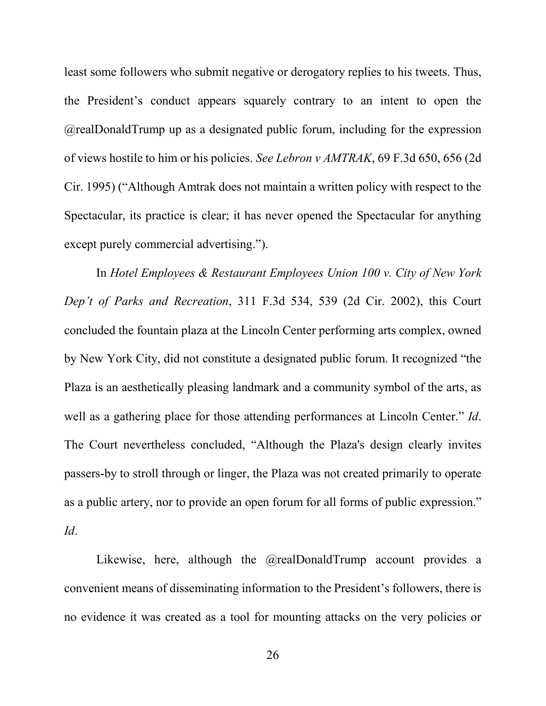least some followers who submit negative or derogatory replies to his tweets. Thus, the President's conduct appears squarely contrary to an intent to open the @realDonaldTrump up as a designated public forum, including for the expression of views hostile to him or his policies. *See Lebron v AMTRAK*, 69 F.3d 650, 656 (2d Cir. 1995) ("Although Amtrak does not maintain a written policy with respect to the Spectacular, its practice is clear; it has never opened the Spectacular for anything except purely commercial advertising.").

In *Hotel Employees & Restaurant Employees Union 100 v. City of New York Dep't of Parks and Recreation*, 311 F.3d 534, 539 (2d Cir. 2002), this Court concluded the fountain plaza at the Lincoln Center performing arts complex, owned by New York City, did not constitute a designated public forum. It recognized "the Plaza is an aesthetically pleasing landmark and a community symbol of the arts, as well as a gathering place for those attending performances at Lincoln Center." *Id*. The Court nevertheless concluded, "Although the Plaza's design clearly invites passers-by to stroll through or linger, the Plaza was not created primarily to operate as a public artery, nor to provide an open forum for all forms of public expression." *Id*.

Likewise, here, although the @realDonaldTrump account provides a convenient means of disseminating information to the President's followers, there is no evidence it was created as a tool for mounting attacks on the very policies or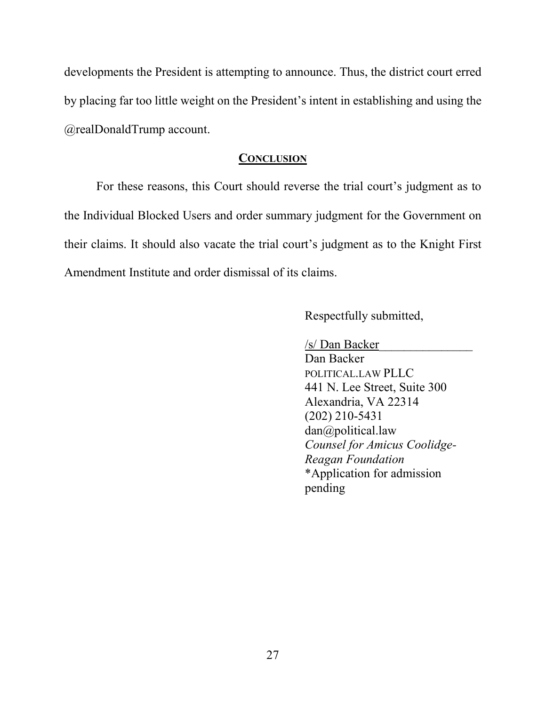developments the President is attempting to announce. Thus, the district court erred by placing far too little weight on the President's intent in establishing and using the @realDonaldTrump account.

#### **CONCLUSION**

For these reasons, this Court should reverse the trial court's judgment as to the Individual Blocked Users and order summary judgment for the Government on their claims. It should also vacate the trial court's judgment as to the Knight First Amendment Institute and order dismissal of its claims.

Respectfully submitted,

/s/ Dan Backer\_\_\_\_\_\_\_\_\_\_\_\_\_\_\_

Dan Backer POLITICAL.LAW PLLC 441 N. Lee Street, Suite 300 Alexandria, VA 22314 (202) 210-5431 dan@political.law *Counsel for Amicus Coolidge-Reagan Foundation* \*Application for admission pending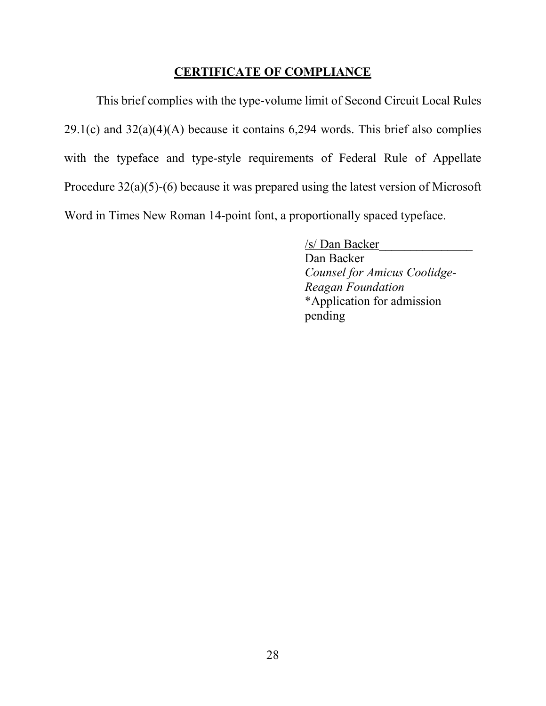#### **CERTIFICATE OF COMPLIANCE**

This brief complies with the type-volume limit of Second Circuit Local Rules  $29.1(c)$  and  $32(a)(4)(A)$  because it contains 6,294 words. This brief also complies with the typeface and type-style requirements of Federal Rule of Appellate Procedure 32(a)(5)-(6) because it was prepared using the latest version of Microsoft Word in Times New Roman 14-point font, a proportionally spaced typeface.

> /s/ Dan Backer\_\_\_\_\_\_\_\_\_\_\_\_\_\_\_ Dan Backer *Counsel for Amicus Coolidge-Reagan Foundation* \*Application for admission pending